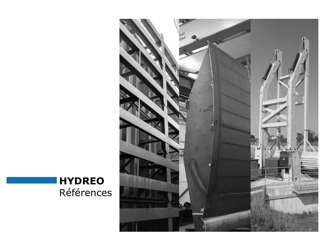

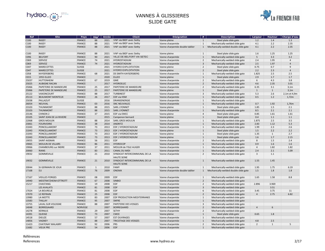

# VANNES À GLISSIERES SLIDE GATE

| <b>Ref</b>       | <b>Site</b>                | <b>Pays</b>   | $\mathbf{D}\acute{\mathbf{e}}\mathbf{p}^{\mathsf{t}}$ | Année | <b>Client</b>                                      | <b>Désignation</b>              | #              | <b>Description</b>                    | Largeur        | <b>Hauteur</b> | <b>Charge d'eau</b> |
|------------------|----------------------------|---------------|-------------------------------------------------------|-------|----------------------------------------------------|---------------------------------|----------------|---------------------------------------|----------------|----------------|---------------------|
| C <sub>100</sub> | <b>RASEY</b>               | <b>FRANCE</b> | 88                                                    | 2021  | VNF via BIEF avec Sethy                            | Vanne pleine                    | $\mathbf{1}$   | Steel plate slide gate                | 1.2            | 1.4            | 1.3                 |
| C <sub>100</sub> | <b>RASEY</b>               | <b>FRANCE</b> | 88                                                    | 2021  | VNF via BIEF avec Sethy                            | Vanne charpentée                | $\mathbf{1}$   | Mechanically-welded slide gate        | 4.1            | 2.2            | 2.35                |
| C <sub>100</sub> | <b>RASEY</b>               | <b>FRANCE</b> | 88                                                    | 2021  | VNF via BIEF avec Sethy                            | Vanne charpentée double tablier |                | Mechanically-welded double slide gate | 4.1            | 2.2            | 2.35                |
|                  |                            |               |                                                       |       |                                                    |                                 |                |                                       |                |                |                     |
| C <sub>100</sub> | <b>RASEY</b>               | <b>FRANCE</b> | 88                                                    | 2021  | VNF via BIEF avec Sethy                            | Vanne pleine                    | $\mathbf{1}$   | Steel plate slide gate                | 1.6            | 1.25           | 1.25                |
| C096             | <b>BELFORT</b>             | <b>FRANCE</b> | 90                                                    | 2021  | VILLE DE BELFORT VIA SETEC                         | Vanne charpentée                | $\mathbf{1}$   | Mechanically-welded slide gate        | 5              | 3.3            | 3.2                 |
| C <sub>069</sub> | <b>SERVOZ</b>              | <b>FRANCE</b> | 74                                                    | 2021  | <b>HYDROSTADIUM</b>                                | Vanne charpentée                | $\overline{2}$ | Mechanically-welded slide gate        | 2.4            | 1.95           | $\overline{4}$      |
| C <sub>069</sub> | <b>SERVOZ</b>              | <b>FRANCE</b> | 74                                                    | 2021  | <b>HYDROSTADIUM</b>                                | Vanne charpentée                | 3              | Mechanically-welded slide gate        | 2.5            | 1.97           | $\overline{4}$      |
| C047             | <b>MARECOTTES</b>          | <b>SUISSE</b> |                                                       | 2021  | <b>HYDRO EXPLOITATION</b>                          | Vanne pleine                    | $\overline{2}$ | Steel plate slide gate                | 0.75           | 0.7            | 9                   |
| C047             | <b>MARECOTTES</b>          | <b>SUISSE</b> |                                                       | 2021  | <b>HYDRO EXPLOITATION</b>                          | Vanne pleine                    | $\overline{2}$ | Steel plate slide gate                | 2.2            | 2.3            | $\overline{4}$      |
| C058             | <b>KAYSERSBERG</b>         | <b>FRANCE</b> | 68                                                    | 2021  | <b>DS SMITH KAYSERSBERG</b>                        | Vanne charpentée                | $\mathbf{1}$   | Mechanically-welded slide gate        | 1.825          | 2.5            | 2.5                 |
| C <sub>015</sub> | <b>1955 ELLEO</b>          | <b>FRANCE</b> |                                                       | 2020  | <b>ELLEO</b>                                       | Vanne pleine                    | $\mathbf{1}$   | Steel plate slide gate                | 2.9            | 1.7            | 1.7                 |
| 25037            | <b>HUTTENHEIM</b>          | <b>FRANCE</b> | 67                                                    | 2019  | GME                                                | Vanne charpentée                | $\overline{2}$ | Mechanically-welded slide gate        | 6              | 4.3            | 3.8                 |
| 25025            | <b>AUBIGNE RACAN</b>       | <b>FRANCE</b> |                                                       | 2017  | <b>HYDROELEC</b>                                   | Vanne charpentée                | $\overline{2}$ | Mechanically-welded slide gate        | 4.6            | 2.35           | 3.01                |
| 25066            | PAPETERIE DE MANDEURE      | <b>FRANCE</b> | 25                                                    | 2017  | <b>PAPETERIE DE MANDEURE</b>                       | Vanne charpentée                | $\overline{2}$ | Mechanically-welded slide gate        | 6.35           | 3.1            | 3,1m                |
| 25066            | PAPETERIE DE MANDEURE      | <b>FRANCE</b> | 25                                                    | 2017  | PAPETERIE DE MANDEURE                              | Vanne pleine                    | 1              | Steel plate slide gate                | $\mathbf{1}$   | 1              | 3,1m                |
| 25122            | VAXONCOURT                 | <b>FRANCE</b> | 88                                                    | 2017  | <b>TURBINEST</b>                                   | Vanne charpentée                | $\overline{3}$ | Mechanically-welded slide gate        | 5.3            | 2.6            | 2,1m et 4,9m        |
| 25113            | <b>BEAUMONT MONTEUX</b>    | <b>FRANCE</b> | 26                                                    | 2017  | <b>EDF</b> via HSM                                 | Vanne charpentée                | $\mathbf{1}$   | Mechanically-welded slide gate        | 0.5            | 1.2            | 1,72m               |
| 25038            | PALLAZUIT                  | <b>SUISSE</b> |                                                       | 2016  | DRANSENERGIE                                       | Vanne charpentée                | $\mathbf{1}$   | Mechanically-welded slide gate        |                |                |                     |
| 26054            | <b>NEUVIAL</b>             | <b>FRANCE</b> | 03                                                    | 2016  | <b>SNC NEUVIALEC</b>                               | Vanne charpentée                | $\mathbf{1}$   | Mechanically-welded slide gate        | 0.7            | 1.92           | 1,76m               |
|                  | <b>THUNIMONT</b>           | <b>FRANCE</b> |                                                       | 2015  | <b>SARL LYONNET</b>                                | Vanne pleine                    |                |                                       | 1.85           | 1.5            | 2.1                 |
| 23103            | <b>THUNIMONT</b>           | <b>FRANCE</b> | 88                                                    | 2015  | <b>SARL LYONNET</b>                                |                                 | $\mathbf{1}$   | Steel plate slide gate                |                | 2.1            | 2.1                 |
| 23103            |                            |               | 88                                                    |       |                                                    | Vanne charpentée                | $\mathbf{1}$   | Mechanically-welded slide gate        | 8.5            |                |                     |
| 23146            | <b>CHINON 2</b>            | <b>FRANCE</b> | 37                                                    | 2015  | <b>EDF via EMCC</b>                                | Vanne pleine                    | $\overline{4}$ | Steel plate slide gate                | 0.85           | 1.61           | 1.61                |
| 23105            | SAINT JEAN DE LA RIVIERE   | <b>FRANCE</b> |                                                       | 2015  | Campenon bernard                                   | Vanne pleine                    | $\mathbf{1}$   | Steel plate slide gate                | 0.4            | 1.1            | 1.1                 |
| 22068            | <b>GROS MOULIN</b>         | <b>FRANCE</b> | 88                                                    | 2014  | <b>SARL GROS MOULIN</b>                            | Vanne charpentée                | $\mathbf{1}$   | Mechanically-welded slide gate        | 1.875          | 2.5            | 3.5                 |
| 23061            | <b>FOURVOIRIE</b>          | <b>FRANCE</b> | 38                                                    | 2014  | <b>ANDRITZ</b>                                     | Vanne charpentée                | $\mathbf{1}$   | Mechanically-welded slide gate        | 2.83           | 1.12           | 5.3                 |
| 21043            | PONCELLAMONT               | <b>FRANCE</b> | 73                                                    | 2013  | EDF / HYDROSTADIUM                                 | Vanne charpentée                | $\mathbf{1}$   | Mechanically-welded slide gate        | 1.99           | 2.3            | 2.6                 |
| 21043            | PONCELLAMONT               | <b>FRANCE</b> | 73                                                    | 2013  | EDF / HYDROSTADIUM                                 | Vanne pleine                    | $\mathbf{1}$   | Steel plate slide gate                | 1.5            | 2.2            | 2.2                 |
| 21043            | PONCELLAMONT               | <b>FRANCE</b> | 73                                                    | 2013  | EDF / HYDROSTADIUM                                 | Vanne pleine                    | $\mathbf{1}$   | Steel plate slide gate                | 1.35           | $\mathbf{1}$   | 2.7                 |
| 21043            | PONCELLAMONT               | <b>FRANCE</b> | 73                                                    | 2013  | <b>EDF / HYDROSTADIUM</b>                          | Vanne pleine                    | 1              | Steel plate slide gate                | 1.6            | 1.7            | 2.15                |
| 19055            | SAINT-AIGNAN               | <b>FRANCE</b> | 56                                                    | 2011  | <b>EDF</b>                                         | Vanne charpentée                | $\overline{2}$ | Mechanically-welded slide gate        | 8              | 1.5            | 2.4                 |
| 19065            | <b>MOULIN DE VILLARS</b>   | <b>FRANCE</b> | 86                                                    | 2011  | <b>HYDROCOP</b>                                    | Vanne charpentée                | 1              | Mechanically-welded slide gate        | 0.9            | 1.6            | 1.6                 |
| 19066            | <b>CHAMBOURG sur INDRE</b> | <b>FRANCE</b> | 37                                                    | 2011  | MOULIN de l'ISLE AUGER                             | Vanne charpentée                | $\mathbf{1}$   | Mechanically-welded slide gate        | $\overline{4}$ | 1.82           | 1.82                |
| 20060            | <b>RIANS</b>               | <b>FRANCE</b> | 83                                                    | 2011  | <b>CANAL DU MIDI</b>                               | Vanne charpentée                | $\mathbf{1}$   | Mechanically-welded slide gate        | 2.4            | 2.1            | 5.09                |
| 19032            | <b>GOMMEVILLE</b>          | <b>FRANCE</b> | 21                                                    | 2010  | SYNDICAT INTERCOMMUNAL DE LA<br><b>HAUTE SEINE</b> | Vanne charpentée                | $\overline{2}$ | Mechanically-welded slide gate        | 3              | 1.1            |                     |
| 19032            | <b>GOMMEVILLE</b>          | <b>FRANCE</b> | 21                                                    | 2010  | SYNDICAT INTERCOMMUNAL DE LA<br><b>HAUTE SEINE</b> | Vanne charpentée                | $\mathbf{1}$   | Mechanically-welded slide gate        | 1.55           | 1.45           |                     |
| 20044            | St GERMAIN DE JOUX         | <b>FRANCE</b> | $\mathbf{1}$                                          | 2010  | FAMY                                               | Vanne charpentée                | $\mathbf{1}$   | Mechanically-welded slide gate        | 1.95           | 1.75           | 6.19                |
| 17168            | EU                         | <b>FRANCE</b> | 76                                                    | 2009  | <b>ONEMA</b>                                       | Vanne charpentée double tablier |                | Mechanically-welded double slide gate | 1.5            | 1.8            | 1.8                 |
| 17167            | <b>VIEILLES FORGES</b>     | <b>FRANCE</b> | 08                                                    | 2009  | <b>EDF</b>                                         | Vanne charpentée                | $\mathbf{1}$   | Mechanically-welded slide gate        | 1.65           | 1.58           | 8.8                 |
| 14940            | MEISTRATZHEIM-OTTROTT      | <b>FRANCE</b> | 67                                                    | 2008  | <b>SINBIO</b>                                      | Vanne charpentée                | $\overline{2}$ | Mechanically-welded slide gate        |                |                |                     |
| 15217            | <b>CHASTANG</b>            | <b>FRANCE</b> | 19                                                    | 2008  | <b>EDF</b>                                         | Vanne charpentée                | $\overline{2}$ | Mechanically-welded slide gate        | 2.896          | 3.969          |                     |
|                  | <b>LES AVALATS</b>         | <b>FRANCE</b> | 81                                                    | 2008  | <b>EDF</b>                                         | Vanne charpentée                | $\overline{3}$ | Mechanically-welded slide gate        |                | 3.51           |                     |
| 17024            | LA BOURELIE                | <b>FRANCE</b> | 81                                                    | 2008  | <b>EDF</b>                                         | Vanne charpentée                | 6              | Mechanically-welded slide gate        | 3.45           | 3.75           | 11                  |
| 17070            | LE REFRAIN                 | <b>FRANCE</b> | 25                                                    | 2008  | <b>EDF</b>                                         | Vanne charpentée                | $\overline{2}$ | Mechanically-welded slide gate        | $\overline{4}$ | 2.75           | 6.82                |
| 13980            | LA MOTTE                   | <b>FRANCE</b> | 83                                                    | 2007  | EDF PRODUCTION MEDITERRANEE                        | Vanne charpentée                | $\mathbf{1}$   | Mechanically-welded slide gate        |                |                |                     |
| 13583            | <b>THILLAY</b>             | <b>FRANCE</b> | 95                                                    | 2007  | <b>SNFRE</b>                                       | Vanne charpentée                | $\mathbf{1}$   | Mechanically-welded slide gate        |                |                |                     |
| 13755            | LAVAL SUR VOLOGNE          | <b>FRANCE</b> | 88                                                    | 2007  | <b>PAPETERIE DES VOSGES</b>                        | Vanne charpentée                | $\overline{3}$ | Mechanically-welded slide gate        |                |                |                     |
|                  |                            |               |                                                       |       |                                                    |                                 |                |                                       |                |                |                     |
| 14048            | <b>BORREGAARD</b>          | NORVEGE       |                                                       | 2007  | BORREGAARD                                         | Vanne charpentée                | $\overline{2}$ | Mechanically-welded slide gate        | $\overline{4}$ | 6              |                     |
| 14278            | <b>KERNILIS</b>            | <b>FRANCE</b> | 29                                                    | 2007  | <b>SETHY</b>                                       | Vanne charpentée                | $\overline{2}$ | Mechanically-welded slide gate        |                |                |                     |
| 14391            | <b>QUEIGE</b>              | <b>FRANCE</b> | 73                                                    | 2007  | <b>CMCE</b>                                        | Vanne pleine                    | $\mathbf{1}$   | Steel plate slide gate                | 0.65           | 1.8            |                     |
| 14518            | <b>DIEUZE</b>              | <b>FRANCE</b> | 57                                                    | 2007  | <b>EST OUVRAGES</b>                                | Vanne charpentée                | $\mathbf{1}$   | Mechanically-welded slide gate        |                |                |                     |
| 14856            | <b>VAGNEY</b>              | <b>FRANCE</b> | 88                                                    | 2007  | <b>TRICOTAGE DES VOSGES</b>                        | Vanne charpentée                | $\mathbf{1}$   | Mechanically-welded slide gate        | 4.8            | 2.5            |                     |
| 11423            | <b>CHATENAY MALABRY</b>    | <b>FRANCE</b> | 92                                                    | 2006  | <b>PRS</b>                                         | Vanne charpentée                | $\overline{2}$ | Mechanically-welded slide gate        | $\overline{2}$ | $\mathbf{1}$   | 5                   |
| 11682            | <b>VIEUX PRE</b>           | <b>FRANCE</b> | 54                                                    | 2006  | EDF                                                | Vanne charpentée                | 1              | Mechanically-welded slide gate        |                |                |                     |

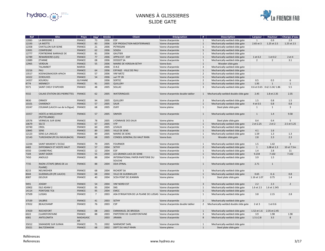

# VANNES À GLISSIERES SLIDE GATE

| <b>Ref</b> | <b>Site</b>                               | <b>Pays</b>                  | $D$ ép $t$     | Année | <b>Client</b>                                           | <b>Désignation</b>              | #              | <b>Description</b>                    | Largeur        | <b>Hauteur</b>              | <b>Charge d'eau</b> |
|------------|-------------------------------------------|------------------------------|----------------|-------|---------------------------------------------------------|---------------------------------|----------------|---------------------------------------|----------------|-----------------------------|---------------------|
| 12083      | LA BRIDOIRE 2                             | <b>FRANCE</b>                | 73             | 2006  | EDF                                                     | Vanne charpentée                | $\mathbf{1}$   | Mechanically-welded slide gate        | $\overline{1}$ | 0.9                         | 2.9                 |
| 12193      | LA MOTTE                                  | <b>FRANCE</b>                | 83             | 2006  | EDF PRODUCTION MEDITERRANEE                             | Vanne charpentée                | $\mathbf{1}$   | Mechanically-welded slide gate        | 2.65 et 3      | 1.25 et 2.5                 | 1.25 et 2.5         |
| 12358      | <b>CHATILLON SUR SEINE</b>                | <b>FRANCE</b>                | 21             | 2006  | PETRISSAN                                               | Vanne charpentée                | $\mathbf{1}$   | Mechanically-welded slide gate        |                |                             |                     |
| 12691      | <b>COMPIEGNE</b>                          | <b>FRANCE</b>                | 62             | 2006  | SOGEA                                                   | Vanne charpentée                | 5              | Mechanically-welded slide gate        |                |                             |                     |
| 12777      | <b>FONTBONNE BARRAGE DE</b>               | <b>FRANCE</b>                | 81             | 2006  | GAUTIER                                                 | Vanne charpentée                | $\mathbf{1}$   | Mechanically-welded slide gate        |                |                             |                     |
| 12789      | <b>RENARDIERES (LES)</b>                  | <b>FRANCE</b>                | 77             | 2006  | <b>APPIA EST - EDF</b>                                  | Vanne charpentée                | 1              | Mechanically-welded slide gate        | 1 et 0.2       | 1 et 0.2                    | 2 et 4              |
| 12889      | <b>ETANNE</b>                             | <b>FRANCE</b>                | 08             | 2006  | <b>DOSSOT SA</b>                                        | Vanne charpentée                | $\mathbf{1}$   | Mechanically-welded slide gate        | $\overline{2}$ | $\overline{2}$              | 3.1                 |
| 12965      | <b>VERDUN</b>                             | <b>FRANCE</b>                | 55             | 2006  | MAIRIE DE VERDUN-SETHY                                  | Vanne bois                      | $\mathbf{1}$   | Wooden slide gate                     |                |                             |                     |
|            | <b>TALAMBOT</b>                           | <b>MAROC</b>                 |                | 2006  | O.N.E                                                   | Vanne charpentée                | 3              | Mechanically-welded slide gate        |                |                             |                     |
| 13216      | PAU                                       | <b>FRANCE</b>                | 64             | 2006  | EIFFAGE - VILLE DE PAU                                  | Vanne charpentée                | 1              | Mechanically-welded slide gate        |                |                             |                     |
| 13517      | KOENIGSMACKER-APACH                       | <b>FRANCE</b>                | 57             | 2006  | <b>VNF METZ</b>                                         | Vanne charpentée                | $\overline{2}$ |                                       |                |                             |                     |
| 14322      | <b>ECROUVES</b>                           | <b>FRANCE</b>                | 54             | 2006  | sarl TP 2B                                              |                                 |                | Mechanically-welded slide gate        |                |                             |                     |
|            | KOUROU                                    |                              |                |       | <b>SERTEC</b>                                           | Vanne charpentée                | 1              | Mechanically-welded slide gate        |                |                             |                     |
| 14357      |                                           | <b>GUYANNE</b>               |                | 2006  |                                                         | Vanne charpentée                | $\overline{2}$ | Mechanically-welded slide gate        | 0.5            | 0.5<br>$\mathbf{1}$         | 6                   |
| 8774       | <b>MENNECY</b>                            | <b>FRANCE</b>                | 91             | 2005  | <b>QUILLERY</b>                                         | Vanne charpentée                | $\mathbf{1}$   | Mechanically-welded slide gate        | 1.95           |                             | $\mathbf{1}$        |
| 9371       | <b>SAINT CHELY D'APCHER</b>               | <b>FRANCE</b>                | 48             | 2005  | SOLLAC                                                  | Vanne charpentée                | 3              | Mechanically-welded slide gate        |                | 0.6 et 0.65   0.6/2.24/1.86 | 5.5                 |
| 9332       | <b>CALAIS STATION DES PIERRETTES</b>      | <b>FRANCE</b>                | 62             | 2005  | <b>WATERINGUES</b>                                      | Vanne charpentée double tablier |                | Mechanically-welded double slide gate | 2.45           | 1.8 et 2.35                 | 2.35                |
| 9830       | ORMOY                                     | <b>FRANCE</b>                | 94             | 2005  | <b>QUILLERY</b>                                         | Vanne charpentée                | $\overline{2}$ | Mechanically-welded slide gate        | 1.5            | 0.8                         | 1.5                 |
| 10101      | <b>CHARENCY</b>                           | <b>FRANCE</b>                | 57             | 2005  | SAUR                                                    | Vanne charpentée                | $\mathbf{1}$   | Mechanically-welded slide gate        | 4 et 0.5       | 0.8                         | 0.8                 |
| 10247      | COLMAR (LAUCH rue de la Digue)            | <b>FRANCE</b>                | 68             | 2005  | <b>OLRY</b>                                             | Vanne pleine                    | $\mathbf{1}$   | Steel plate slide gate                | -1             | $\mathbf{1}$                | 3                   |
| 10357      | <b>HOSTE et WELSCHHOF</b><br>(PUTTELANGE) | <b>FRANCE</b>                | 57             | 2005  | SIMVER                                                  | Vanne charpentée                |                | Mechanically-welded slide gate        | $\mathbf{1}$   | 1.4                         | 9.58                |
| 10576      | <b>VERNEUIL SUR SEINE</b>                 | <b>FRANCE</b>                | 78             | 2005  | LYONNAISE DES EAUX                                      | Vanne pleine                    | $\mathbf{1}$   | Steel plate slide gate                | 0.4            | 0.4                         | 5                   |
| 10679      | <b>SELTZ</b>                              | <b>FRANCE</b>                | 67             | 2005  | V <sub>TP</sub>                                         | Vanne charpentée                | $\mathbf{1}$   | Mechanically-welded slide gate        | 2 et 2.25      | 2 et 2                      | 2.5 et 5.25         |
| 10740      | <b>CREIL</b>                              | <b>FRANCE</b>                | 60             | 2005  | <b>LEVAUX</b>                                           | Vanne charpentée                | $\mathbf{1}$   | Mechanically-welded slide gate        |                |                             |                     |
| 10845      | <b>SENS</b>                               | <b>FRANCE</b>                | 89             | 2005  | <b>VILLE DE SENS</b>                                    | Vanne charpentée                | $\mathbf{1}$   | Mechanically-welded slide gate        | 4.1            | 1.6                         |                     |
| 12123      | <b>SENS (LA LINGUE)</b>                   | <b>FRANCE</b>                | 89             | 2005  | MAIRIE DE SENS                                          | Vanne charpentée                | $\mathbf{1}$   | Mechanically-welded slide gate        | 1.59           | 1.3                         | 1.3                 |
| 12143      | TURCKHEIM (PE DU MUHLBACH)                | <b>FRANCE</b>                | 68             | 2005  | <b>CONSEIL GENERAL DU HAUT RHIN</b>                     | Vanne bois                      |                | Wooden slide gate                     | 2.8            | 2.3                         | 2.3                 |
|            |                                           |                              |                |       |                                                         |                                 |                |                                       |                |                             |                     |
| 12244      | <b>SAINT MAIXENT L'ECOLE</b>              | <b>FRANCE</b>                | 79             | 2005  | FOURNIER                                                | Vanne charpentée                | $\mathbf{1}$   | Mechanically-welded slide gate        | 1.5            | 1.42                        | 3                   |
| 6483       | DIFFENBACH ET HOSTE HAUT                  | <b>FRANCE</b>                | 57             | 2004  | <b>SETHY</b>                                            | Vanne charpentée                | $\overline{2}$ | Mechanically-welded slide gate        | $\mathbf{1}$   | 1.08 et 1.3                 | 10 et 7.5m          |
| 6550       | <b>CAMBEYRAC</b>                          | <b>FRANCE</b>                | 12             | 2004  | <b>EDF</b>                                              | Vanne charpentée                | $\mathbf{1}$   | Mechanically-welded slide gate        | 1.4            | 2.8                         | 11                  |
| 7104       | <b>SAINT DIZIER</b>                       | <b>FRANCE</b>                | 55             | 2004  | LES GRANDS LACS DE SEINE                                | Vanne charpentée                | 1              | Mechanically-welded slide gate        | 9.234          | 7.102                       | 7.102               |
| 7450       | <b>ANOULD</b>                             | <b>FRANCE</b>                | 88             | 2004  | INTERNATIONAL PAPER-PAPETERIE DU<br><b>SOUCHE</b>       | Vanne charpentée                |                | Mechanically-welded slide gate        | 3.9            | 1.5                         |                     |
| 7735       | RAON L'ETAPE (BRAS DE LA<br>PLAINE)       | <b>FRANCE</b>                | 88             | 2004  | <b>DDA EPINAL</b>                                       | Vanne charpentée                | $\mathbf{1}$   | Mechanically-welded slide gate        | 2.71           | $\mathbf{1}$                |                     |
| 8215       | NEUWEIHER                                 | <b>FRANCE</b>                | 68             | 2004  | <b>RICHERT SA</b>                                       | Vanne charpentée                | $\mathbf{1}$   | Mechanically-welded slide gate        |                |                             |                     |
| 8044       | <b>GUEBWILLER (PE LAUCH)</b>              | <b>FRANCE</b>                | 68             | 2004  | <b>VILLE DE GUEBWILLER</b>                              | Vanne charpentée                | 1              | Mechanically-welded slide gate        | 0.65           | 0.6                         | 0.8                 |
| 8087       | <b>GELOUX</b>                             | <b>FRANCE</b>                | 40             | 2004  | <b>SCEA PONT DE JEANNIN</b>                             | Vanne pleine                    |                | Steel plate slide gate                | 1.16 et 1.07   | 0.75                        | 1.4                 |
| 9491       | <b>JOIGNY</b>                             | <b>FRANCE</b>                | 54             | 2004  | <b>VNF NORD EST</b>                                     | Vanne charpentée                | $\overline{3}$ | Mechanically-welded slide gate        | 2.2            | 2.3                         | $\overline{2}$      |
| 10902      | <b>ISLE ADAM 2</b>                        | <b>FRANCE</b>                | 95             | 2004  | <b>SNS</b>                                              | Vanne charpentée                | $\mathbf{1}$   | Mechanically-welded slide gate        | 1.6 et 2.5     | 1.6 et 1.545                |                     |
| 14114      | PONTOISE TC6                              | <b>FRANCE</b>                | 95             | 2004  | <b>EMCC</b>                                             | Vanne charpentée                | $\mathbf{1}$   | Mechanically-welded slide gate        |                |                             |                     |
| 37509      | <b>LUSSAS</b>                             | <b>FRANCE</b>                | $\overline{7}$ | 2003  | ASA D'IRIGATION DE LA PLAINE DE LUSSAS Vanne charpentée |                                 | $\mathbf{1}$   | Mechanically-welded slide gate        | 3.8            | 2.15                        | 2.8                 |
| 37539      | <b>SALBRIS</b>                            | <b>FRANCE</b>                | 41             | 2003  | <b>SETHY</b>                                            | Vanne charpentée                | $\overline{2}$ | Mechanically-welded slide gate        |                |                             |                     |
| 37652      | <b>BEAUCHAMP</b>                          | <b>FRANCE</b>                | 76             | 2003  | CSP                                                     | Vanne charpentée double tablier | $\overline{2}$ | Mechanically-welded double slide gate | 2 et 3         | 1 et 0.6                    |                     |
|            |                                           |                              |                |       |                                                         |                                 |                |                                       |                |                             |                     |
| 37659      | <b>ROCHEFORT</b>                          | <b>FRANCE</b>                | 08             | 2003  | <b>EMMANUEL DE BROSSIA</b>                              | Vanne charpentée                | $\mathbf{1}$   | Mechanically-welded slide gate        | 1.52 et 1.6    | 2.35 et 2.45                |                     |
| 6022       | <b>CLAIREFONTAINE</b>                     | <b>FRANCE</b>                | 88             | 2003  | PAPETERIE DE CLAIREFONTAINE                             | Vanne charpentée                | $\overline{3}$ | Mechanically-welded slide gate        | 3.9            | 1.98                        | 1.98                |
| 6081       | <b>ANTELOMITA</b>                         | <b>MADAGASC</b><br><b>AR</b> |                | 2003  | <b>JIRAMA</b>                                           | Vanne charpentée                | 8              | Mechanically-welded slide gate        | $1.5$ à $2.8$  | 3.5                         | $\,8\,$             |
| 35012      | <b>SIMANDRE SUR SURAN</b>                 | <b>FRANCE</b>                | 71             | 2002  | <b>MARMONT SARL</b>                                     | Vanne charpentée                | $\mathbf{1}$   | Mechanically-welded slide gate        |                |                             |                     |
| 35021      | <b>BALTZENHEIM</b>                        | <b>FRANCE</b>                | 68             | 2002  | <b>DEPT DU HAUT-RHIN</b>                                | Vanne pleine                    | $\mathbf{1}$   | Steel plate slide gate                |                |                             |                     |

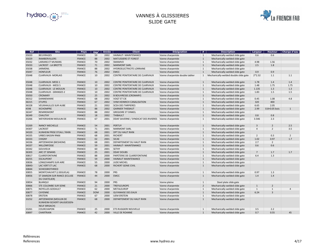

# VANNES À GLISSIERES SLIDE GATE

| <b>Ref</b>      | <b>Site</b>                                                           | <b>Pays</b>   | $D$ ép <sup>t</sup> | <b>Année</b> | <b>Client</b>                        | <b>Désignation</b>              | #              | <b>Description</b>                    | Largeur        | <b>Hauteur</b> | <b>Charge d'eau</b> |
|-----------------|-----------------------------------------------------------------------|---------------|---------------------|--------------|--------------------------------------|---------------------------------|----------------|---------------------------------------|----------------|----------------|---------------------|
| 35020           | <b>BEUVRAGES</b>                                                      | <b>FRANCE</b> | 59                  | 2002         | HAINAUT- MAINTENANCE                 | Vanne charpentée                | $\mathbf{1}$   | Mechanically-welded slide gate        | 0.6            | 0.6            |                     |
| 35029           | <b>RAMBERVILLERS</b>                                                  | <b>FRANCE</b> | 88                  | 2002         | <b>MATUSSIERE ET FOREST</b>          | Vanne charpentée                | $\mathbf{1}$   | Mechanically-welded slide gate        |                |                |                     |
| 35032           | <b>LARIANS ET MUNANS</b>                                              | <b>FRANCE</b> | 70                  | 2002         | SMAMVO                               | Vanne charpentée                | $\mathbf{1}$   | Mechanically-welded slide gate        | 4.98           | 1.56           |                     |
| 35033           | <b>LACROST - LA BROTTE</b>                                            | <b>FRANCE</b> | 71                  | 2002         | <b>MARMONT SARL</b>                  | Vanne charpentée                | -1             | Mechanically-welded slide gate        | 2.5            | 1.8            |                     |
| 35038           | <b>JARMENIL</b>                                                       | <b>FRANCE</b> | 88                  | 2002         | <b>HYDROELECTRICITE LORRAINE</b>     | Vanne charpentée                | $\mathbf{1}$   | Mechanically-welded slide gate        |                |                |                     |
| 35047           | <b>HONFLEUR</b>                                                       | <b>FRANCE</b> | 76                  | 2002         | <b>EMCC</b>                          | Vanne charpentée                | $\mathbf{1}$   | Mechanically-welded slide gate        | 0.9            | 0.9            |                     |
| 35048           | <b>CLAIRVAUX- MORLAIS</b>                                             | <b>FRANCE</b> | 10                  | 2002         | CENTRE PENITENTAIRE DE CLAIRVAUX     | Vanne charpentée double tablier | $\mathbf{1}$   | Mechanically-welded double slide gate | $2*2.32$       | 1.1            | 1.1                 |
| 35048           | <b>CLAIRVAUX- MESS 1</b>                                              | <b>FRANCE</b> | 10                  | 2002         | CENTRE PENITENTAIRE DE CLAIRVAUX     | Vanne charpentée                | $\mathbf{1}$   | Mechanically-welded slide gate        | 1.78           | 1.4            | 1.4                 |
| 35048           | <b>CLAIRVAUX - MESS 5</b>                                             | <b>FRANCE</b> | 10                  | 2002         | CENTRE PENITENTAIRE DE CLAIRVAUX     | Vanne charpentée                | $\mathbf{1}$   | Mechanically-welded slide gate        | 1.48           | 1.75           | 1.75                |
| 35048           | <b>CLAIRVAUX - LE MOULIN</b>                                          | <b>FRANCE</b> | 10                  | 2002         | CENTRE PENITENTAIRE DE CLAIRVAUX     | Vanne charpentée                | $\mathbf{1}$   | Mechanically-welded slide gate        | 1.135          | 1.3            | 1.3                 |
| 35048           | <b>CLAIRVAUX - GRANGES 2</b>                                          | <b>FRANCE</b> | 10                  | 2002         | CENTRE PENITENTAIRE DE CLAIRVAUX     | Vanne charpentée                | $\mathbf{1}$   | Mechanically-welded slide gate        | 1.83           | 1.5            | 1.5                 |
| 35050           | <b>CROMARY</b>                                                        | <b>FRANCE</b> | 25                  | 2002         | <b>B BOUVRESSE (CROMARY)</b>         | Vanne charpentée                | $\mathbf{1}$   | Mechanically-welded slide gate        |                |                |                     |
| 36312           | <b>DANNEMARIE</b>                                                     | <b>FRANCE</b> | 68                  | 2002         | <b>VOGT ET CIE</b>                   | Vanne charpentée                | $\mathbf{1}$   | Mechanically-welded slide gate        | 0.45           | 1.08           | 4.8                 |
| 36315           | <b>ETUPES</b>                                                         | <b>FRANCE</b> | 67                  | 2002         | <b>VHM HEINRICH CANALISATION</b>     | Vanne charpentée                | $\mathbf{1}$   | Mechanically-welded slide gate        | 320            | 400            |                     |
| 36328           | <b>VEUXHAULLES SUR AUBE</b>                                           | <b>FRANCE</b> | 21                  | 2002         | <b>SCEA DES TARPIERES</b>            | Vanne charpentée                | $\mathbf{1}$   | Mechanically-welded slide gate        | 6.65           | 2.05           |                     |
| 4598            | <b>KICHOMPRE</b>                                                      | <b>FRANCE</b> | 88                  | 2002         | <b>GARNIER THIEBAUT</b>              | Vanne charpentée                | $\mathbf{1}$   | Mechanically-welded slide gate        | 2.99           | 0.8+0.05 bois  | $\mathbf{1}$        |
| 36347           | <b>REMIREMONT</b>                                                     | <b>FRANCE</b> | 88                  | 2002         | <b>GREGOIRE ET DINKEL</b>            | Vanne charpentée                | $\mathbf{1}$   | Mechanically-welded slide gate        |                |                |                     |
| 36349           | <b>CHAUTAY</b>                                                        | <b>FRANCE</b> | 18                  | 2002         | <b>THIBAULT</b>                      | Vanne charpentée                | $\mathbf{1}$   | Mechanically-welded slide gate        | 0.8            | 0.8            |                     |
| 33266           | <b>WEYERSHEIM MOULIN DE</b>                                           | <b>FRANCE</b> | 67                  | 2001         | DDAF SAVERNE / SYNDICAT DES RIVIERES | Vanne charpentée                | -1             | Mechanically-welded slide gate        | 3.546          | 2.3            |                     |
| 33269           | <b>NANCY MECHELLE</b>                                                 | <b>FRANCE</b> | 54                  | 2001         | PERTUY                               | Vanne charpentée                | $\mathbf{1}$   | Mechanically-welded slide gate        | 3              | $\overline{2}$ | 2.5                 |
| 34307           | <b>LACROST</b>                                                        | <b>FRANCE</b> | 71                  | 2001         | <b>MARMONT SARL</b>                  | Vanne charpentée                | $\mathbf{1}$   | Mechanically-welded slide gate        | 4              | $\overline{2}$ | 3.5                 |
| 34320           | KUNHEIM PRISE D'EAU / RHIN                                            | <b>FRANCE</b> | 68                  | 2001         | <b>DPT DU HAUT RHIN</b>              | Vanne charpentée                | $\mathbf{1}$   | Mechanically-welded slide gate        |                |                |                     |
| 34335           | <b>URBES BASSIN RN66</b>                                              | <b>FRANCE</b> | 68                  | 2001         | RICHERT                              | Vanne charpentée                | $\mathbf{1}$   | Mechanically-welded slide gate        | $\overline{2}$ | 0.3            | $\overline{2}$      |
| 34333           | <b>CHIGNY</b>                                                         | <b>FRANCE</b> | 02                  | 2001         | <b>SICAE</b>                         | Vanne charpentée                | $\mathbf{1}$   | Mechanically-welded slide gate        | 1.02           | 0.97           | 1.7                 |
| 34336           | ARTZENHEIM (BIESHEIM)                                                 | <b>FRANCE</b> | 68                  | 2001         | <b>DEPARTEMENT DU HAUT RHIN</b>      | Vanne charpentée                | $\mathbf{1}$   | Mechanically-welded slide gate        | 2.7            | $\overline{2}$ |                     |
| 34337           | <b>MILLONFOSSE</b>                                                    | <b>FRANCE</b> | 59                  | 2001         | HAINAUT- MAINTENANCE                 | Vanne charpentée                | $\mathbf{1}$   | Mechanically-welded slide gate        | 0.6            | 0.6            |                     |
| 34342           | GOUVIEUX                                                              | <b>FRANCE</b> | 60                  | 2001         | <b>SETHY</b>                         | Vanne charpentée                | $\mathbf{1}$   | Mechanically-welded slide gate        |                |                |                     |
| 36303           | <b>ARC ET SENANS</b>                                                  | <b>FRANCE</b> | 25                  | 2001         | <b>DDAF DOUBS</b>                    | Vanne charpentée                | $\mathbf{1}$   | Mechanically-welded slide gate        | 7              | 1.7            | 1.7                 |
| 30817           | <b>CLAIREFONTAINE</b>                                                 | <b>FRANCE</b> | 88                  | 2000         | PAPETERIE DE CLAIREFONTAINE          | Vanne charpentée                | $\mathbf{1}$   | Mechanically-welded slide gate        | 6.4            | 1.3            |                     |
| 30255           | <b>ESCAUPONT</b>                                                      | <b>FRANCE</b> | 59                  | 2000         | <b>HAINAUT MAINTENANCE</b>           | Vanne charpentée                | $\mathbf{1}$   | Mechanically-welded slide gate        |                |                |                     |
| 30836           | <b>LONGCHAMPS SUR AIRE</b>                                            | <b>FRANCE</b> | 55                  | 2000         | <b>JUDE MICHEL</b>                   | Vanne charpentée                | $\mathbf{1}$   | Mechanically-welded slide gate        |                |                |                     |
| 30843-<br>30844 | LAC VERT ET LAC<br><b>SCHIESSROTHRIED</b>                             | <b>FRANCE</b> | 68                  | 2000         | <b>RICHERT GENIE CIVIL</b>           | Vanne charpentée                | $\mathbf{1}$   | Mechanically-welded slide gate        |                |                |                     |
| 30855           | MONTCHAUVET (J.SEGUELA)                                               | <b>FRANCE</b> | 78                  | 2000         | PRS                                  | Vanne charpentée                | $\mathbf{1}$   | Mechanically-welded slide gate        | 0.97           | 1.3            |                     |
| 30856           | ST SAMSON SUR RANCE (ECLUSE<br>DU CHATELIER)                          | FRANCE        | 44                  | 2000         | <b>EMCC</b>                          | Vanne charpentée                | 1              | Mechanically-welded slide gate        | 1.4            | 1.4            |                     |
| 30854           | <b>BLANQUI</b>                                                        | <b>FRANCE</b> | 94                  | 2000         | PRS                                  | Vanne pleine                    | $\mathbf{1}$   | Steel plate slide gate                |                |                |                     |
| 30866           | STE COLOMBE SUR SEINE                                                 | <b>FRANCE</b> | 21                  | 2000         | <b>TREFILEUROPE</b>                  | Vanne charpentée                | $\overline{2}$ | Mechanically-welded slide gate        | $\mathbf{1}$   | $\overline{2}$ |                     |
| 30871           | NOYELLES-GODAULT                                                      | <b>FRANCE</b> | 62                  | 2000         | METALEUROP                           | Vanne charpentée                | $\mathbf{1}$   | Mechanically-welded slide gate        | $\mathbf{1}$   | $\mathbf{1}$   | 4                   |
| 30877           | <b>CAYENNE</b>                                                        | <b>FRANCE</b> | <b>DOM</b>          | 2000         | <b>GUYANAISE DES EAUX</b>            | Vanne charpentée                | $\mathbf{1}$   | Mechanically-welded slide gate        | 6.24           | 3              |                     |
| 30878           | <b>ERSTEIN</b>                                                        | <b>FRANCE</b> | 67                  | 2000         | <b>UEM ERSTEIN</b>                   | Vanne charpentée                | $\mathbf{1}$   | Mechanically-welded slide gate        |                |                |                     |
| 33252           | ARTZENHEIM (MOULIN DE<br>KUNHEIM-ISCHERT-SAUGIESSEN-<br>NEUF BRISACH) | <b>FRANCE</b> | 68                  | 2000         | DEPARTEMENT DU HAUT RHIN             | Vanne charpentée                | $\mathbf{1}$   | Mechanically-welded slide gate        |                |                |                     |
| 33261           | <b>COURCHAPON</b>                                                     | <b>FRANCE</b> | 25                  | 2000         | <b>ETS RUGGIERI NOUVELLE</b>         | Vanne charpentée                | $\mathbf{1}$   | Mechanically-welded slide gate        | 3.5            | 2.2            |                     |
| 30897           | <b>CHARTRAIN</b>                                                      | <b>FRANCE</b> | 42                  | 2000         | <b>VILLE DE ROANNE</b>               | Vanne charpentée                | $\mathbf{1}$   | Mechanically-welded slide gate        | 0.7            | 0.55           | 45                  |

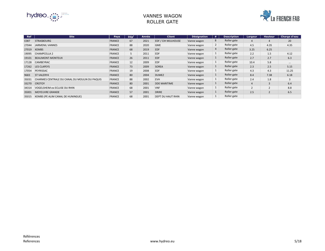

### VANNES WAGON ROLLER GATE

| <b>Ref</b> | <b>Site</b>                                   | <b>Pays</b>   | Dépt | Année | <b>Client</b>       | <b>Désignation</b> | #            | <b>Description</b> | Largeur        | <b>Hauteur</b> | <b>Charge d'eau</b> |
|------------|-----------------------------------------------|---------------|------|-------|---------------------|--------------------|--------------|--------------------|----------------|----------------|---------------------|
| C087       | <b>STRASBOURG</b>                             | <b>FRANCE</b> | 67   | 2021  | EDF / CIH MULHOUSE  | Vanne wagon        | 8            | Roller gate        | 4              | 4              | 20                  |
| 27044      | JARMENIL VANNES                               | <b>FRANCE</b> | 88   | 2020  | <b>GME</b>          | Vanne wagon        | $2^{\circ}$  | Roller gate        | 4.5            | 4.35           | 4.35                |
| 27019      | <b>KEMBS</b>                                  | <b>FRANCE</b> | 68   | 2019  | <b>EDF</b>          | Vanne wagon        | 4            | Roller gate        | 3.25           | 6.25           |                     |
| 19095      | <b>CHAMPCELLA 2</b>                           | <b>FRANCE</b> |      | 2011  | <b>EDF</b>          | Vanne wagon        | $\mathbf{1}$ | Roller gate        | 2.2            | 1.5            | 4.12                |
| 19101      | <b>BEAUMONT-MONTEUX</b>                       | <b>FRANCE</b> | 26   | 2011  | <b>EDF</b>          | Vanne wagon        | $\mathbf{1}$ | Roller gate        | 2.7            | 2.7            | 6.3                 |
| 17128      | <b>CAMBEYRAC</b>                              | <b>FRANCE</b> | 12   | 2009  | <b>EDF</b>          | Vanne wagon        | $\mathbf{1}$ | Roller gate        | 10.4           | 5.8            | $\cdots$            |
| 17262      | LES CLAPEYS                                   | <b>FRANCE</b> | 73   | 2009  | <b>SOREA</b>        | Vanne wagon        | $\mathbf{1}$ | Roller gate        | 2.3            | 2.5            | 5.15                |
| 17054      | PEYRISSAC                                     | <b>FRANCE</b> | 19   | 2008  | <b>EDF</b>          | Vanne wagon        | $\mathbf{1}$ | Roller gate        | 4.3            | 4.3            | 11.25               |
| 9683       | <b>ST VALERY4</b>                             | <b>FRANCE</b> | 80   | 2004  | <b>DUMEZ</b>        | Vanne wagon        | $\mathbf{1}$ | Roller gate        | 8.4            | 7.38           | 6.18                |
| 35031      | CHARMES CENTRALE DU CANAL DU MOULIN DU PAQUIS | <b>FRANCE</b> | 88   | 2002  | <b>EVH</b>          | Vanne wagon        | $\mathbf{1}$ | Roller gate        | 2.4            | 1.8            | 3                   |
| 33270      | <b>CROTOY</b>                                 | <b>FRANCE</b> | 80   | 2001  | <b>DDE MARITIME</b> | Vanne wagon        | $\mathbf{1}$ | Roller gate        | 4              | 3              | 6.4                 |
| 34314      | VOGELSHEIM ex ECLUSE DU RHIN                  | <b>FRANCE</b> | 68   | 2001  | <b>VNF</b>          | Vanne wagon        | $\mathbf{1}$ | Roller gate        | $\overline{2}$ | $\overline{2}$ | 8.8                 |
| 35001      | <b>MOYEUVRE GRANDE</b>                        | <b>FRANCE</b> | 57   | 2001  | <b>DRIRE</b>        | Vanne wagon        | $\mathbf{1}$ | Roller gate        | 2.5            | $\overline{2}$ | 6.5                 |
| 35015      | KEMBS (PE ALIM CANAL DE HUNINGUE)             | <b>FRANCE</b> | 68   | 2001  | DEPT DU HAUT RHIN   | Vanne wagon        | $\mathbf{1}$ | Roller gate        |                |                |                     |

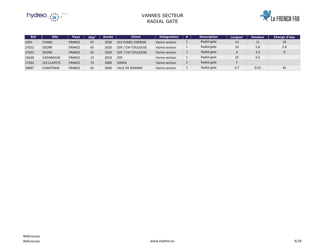

#### VANNES SECTEUR RADIAL GATE



| <b>Ref</b> | <b>Site</b>        | Pays          | $D$ ép $t$ | Année | <b>Client</b>             | <b>Désignation</b> | #            | <b>Description</b> | Largeur | <b>Hauteur</b> | <b>Charge d'eau</b> |
|------------|--------------------|---------------|------------|-------|---------------------------|--------------------|--------------|--------------------|---------|----------------|---------------------|
| C055       | <b>FUMEL</b>       | <b>FRANCE</b> | 47         | 2020  | <b>SCS FUMEL ENERGIE</b>  | Vanne secteur      | щ.           | Radial gate        | 13      | 11             | 10                  |
| 27022      | <b>GEDRE</b>       | <b>FRANCE</b> | 65         | 2020  | <b>EDF / CIH TOULOUSE</b> | Vanne secteur      | $\mathbf{1}$ | Radial gate        | 10      | 5.8            | 5.8                 |
| 27022      | <b>GEDRE</b>       | <b>FRANCE</b> | 65         | 2020  | <b>EDF / CIH TOULOUSE</b> | Vanne secteur      | $1 \ \nu$    | Radial gate        | 4       | 3.5            |                     |
| 18160      | CADARACHE          | <b>FRANCE</b> | 13         | 2010  | <b>EDF</b>                | Vanne secteur      | $\mathbf{1}$ | Radial gate        | 25      | 6.5            |                     |
| 17262      | <b>LES CLAPEYS</b> | <b>FRANCE</b> | 73         | 2009  | <b>SOREA</b>              | Vanne secteur      | $\mathbf{2}$ | Radial gate        |         |                |                     |
| 30897      | <b>CHARTRAIN</b>   | <b>FRANCE</b> | 42         | 2000  | <b>VILLE DE ROANNE</b>    | Vanne secteur      | $\mathbf{1}$ | Radial gate        | 0.7     | 0.55           | 45                  |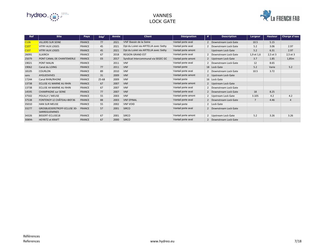

# VANNES LOCK GATE

| <b>Ref</b> | <b>Site</b>                                                 | <b>Pays</b>   | Dép <sup>t</sup> | Année | <b>Client</b>                        | <b>Désignation</b>  | #              | <b>Description</b>        | <b>Largeur</b> | <b>Hauteur</b> | <b>Charge d'eau</b> |
|------------|-------------------------------------------------------------|---------------|------------------|-------|--------------------------------------|---------------------|----------------|---------------------------|----------------|----------------|---------------------|
| C126       | <b>VILLIERS SUR SEINE</b>                                   | <b>FRANCE</b> | 77               | 2021  | VNF Bassin de la Seine               | Vantail porte aval  |                | 2 Downstream Lock Gate    | 10.5           | 5.15           |                     |
| C107       | <b>VITRY AUX LOGES</b>                                      | <b>FRANCE</b> | 45               | 2021  | Dpt du Loiret via ARTELIA avec Sethy | Vantail porte aval  |                | 2   Downstream Lock Gate  | 5.2            | 3.06           | 2.97                |
| C107       | <b>VITRY AUX LOGES</b>                                      | <b>FRANCE</b> | 45               | 2021  | Dpt du Loiret via ARTELIA avec Sethy | Vantail porte amont |                | <b>Upstream Lock Gate</b> | 5.2            | 6.31           | 2.97                |
| 26091      | <b>ILLKIRCH</b>                                             | <b>FRANCE</b> | 67               | 2018  | <b>REGION GRAND EST</b>              | Vantail porte aval  |                | Downstream Lock Gate      | 1,9 et 1,6     | 2,5 et 3       | 2,5 et 3            |
| 25079      | PONT CANAL DE CHANTEMERLE                                   | <b>FRANCE</b> | 03               | 2017  | Syndicat Intercommunal via SEGEC GC  | Vantail porte amont |                | 2 Upstream Lock Gate      | 3.7            | 1.85           | 1,85m               |
| 19021      | PONT MALIN                                                  | <b>FRANCE</b> |                  | 2011  | <b>VNF</b>                           | Vantail porte aval  |                | 2 Downstream Lock Gate    | 12             | 8.65           |                     |
| 19062      | Canal du LOING                                              | <b>FRANCE</b> | 77               | 2011  | <b>VNF</b>                           | Vantail porte       |                | 18 Lock Gate              | 5.2            | Varie          | 5.2                 |
| 18105      | <b>COURLON</b>                                              | <b>FRANCE</b> | 89               | 2010  | <b>VNF</b>                           | Vantail porte aval  |                | Downstream Lock Gate      | 10.5           | 3.72           |                     |
| sans       | AYGUESVIVES                                                 | <b>FRANCE</b> | 31               | 2009  | <b>VNF</b>                           | Vantail porte amont |                | 2 Upstream Lock Gate      |                |                |                     |
| 17244      | Canal RHIN/RHONE                                            | <b>FRANCE</b> | 25-68            | 2009  | <b>VNF</b>                           | Vantail porte       |                | 16 Lock Gate              |                |                |                     |
| 13738      | ECLUSE 41 MARNE AU RHIN                                     | <b>FRANCE</b> | 67               | 2007  | <b>VNF</b>                           | Vantail porte amont |                | 2 Upstream Lock Gate      |                |                |                     |
| 13738      | ECLUSE 44 MARNE AU RHIN                                     | <b>FRANCE</b> | 67               | 2007  | <b>VNF</b>                           | Vantail porte aval  |                | Downstream Lock Gate      |                |                |                     |
| 14595      | <b>CHAMPAGNE sur SEINE</b>                                  | <b>FRANCE</b> | 77               | 2007  | <b>VNF</b>                           | Vantail porte aval  | 2              | Downstream Lock Gate      | 18             | 8.25           |                     |
| 37502      | POUILLY / MEUSE                                             | <b>FRANCE</b> | 55               | 2003  | <b>VNF</b>                           | Vantail porte amont | $\overline{2}$ | Upstream Lock Gate        | 3.105          | 4.2            | 4.2                 |
| 37538      | FONTENOY LE CHÂTEAU-BIEF36                                  | <b>FRANCE</b> | 88               | 2003  | <b>VNF EPINAL</b>                    | Vantail porte aval  |                | 2 Downstream Lock Gate    | 7              | 4.46           | $\overline{4}$      |
| 35010      | <b>HAN SUR MEUSE</b>                                        | <b>FRANCE</b> | 55               | 2002  | <b>VNF VOID</b>                      | Vantail porte       |                | 2 Lock Gate               |                |                |                     |
| 33277      | <b>GROSBLIEDERSTROFF-ECLUSE 30-</b><br><b>SARREGUEMINES</b> | <b>FRANCE</b> | 57               | 2001  | <b>SIRCO</b>                         | Vantail porte aval  |                | Downstream Lock Gate      |                |                |                     |
| 34326      | BISSERT-ECLUSE18                                            | <b>FRANCE</b> | 67               | 2001  | <b>SIRCO</b>                         | Vantail porte amont |                | 2   Upstream Lock Gate    | 5.2            | 3.26           | 3.26                |
| 30894-     | <b>HEYRITZ et KRAFT</b>                                     | <b>FRANCE</b> | 67               | 2000  | <b>SIRCO</b>                         | Vantail porte aval  |                | Downstream Lock Gate      |                |                |                     |

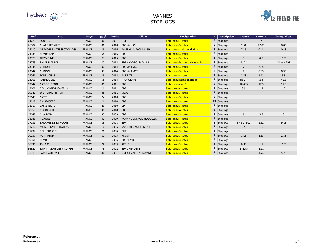

### VANNES **STOPLOGS**

| <b>Ref</b> | <b>Site</b>                      | <b>Pays</b>   | $\mathbf{D}\acute{\mathbf{e}}\mathbf{p}^{\mathsf{t}}$ | <b>Année</b> | <b>Client</b>               | <b>Désignation</b>               | # | $\mid$ Description $\mid$ | Largeur        | <b>Hauteur</b> | <b>Charge d'eau</b> |
|------------|----------------------------------|---------------|-------------------------------------------------------|--------------|-----------------------------|----------------------------------|---|---------------------------|----------------|----------------|---------------------|
| C128       | <b>EGUZON</b>                    | <b>FRANCE</b> | 36                                                    | 2021         | <b>EDF</b>                  | Batardeau 4 cotés                |   | 5 Stoplogs                | 3              | $\overline{7}$ |                     |
| 26087      | CHATELLERAULT                    | <b>FRANCE</b> | 86                                                    | 2018         | <b>EDF vis HSM</b>          | <b>Batardeau 3 cotés</b>         |   | 2 Stoplogs                | 3.51           | 2.695          | 8.85                |
| 24110      | <b>GRENOBLE INTERSECTION D39</b> | <b>FRANCE</b> | 38                                                    | 2016         | <b>SYMBHI via MOULIN TP</b> | <b>Batardeau anti-inondation</b> |   | 1 Stoplogs                | 7.16           | 0.43           | 0.43                |
| 24138      | <b>KEMBS PAP</b>                 | <b>FRANCE</b> | 68                                                    | 2016         | EDF                         | Batardeau 3 cotés                | 4 | Stoplogs                  |                |                |                     |
| 23073      | <b>TREVADINE</b>                 | <b>FRANCE</b> | $2^{\circ}$                                           | 2015         | EDF                         | <b>Batardeau 3 cotés</b>         |   | 1 Stoplogs                | $\overline{7}$ | 0.7            | 0.7                 |
| 22075      | <b>BASSE MAULDE</b>              | <b>FRANCE</b> | 87                                                    | 2014         | EDF / HYDROSTADIUM          | Batardeau horizontal circulaire  |   | $1$ Stoplogs              | dia $2,2$      |                | 15 m à PHE          |
| 23044      | <b>CHINON</b>                    | <b>FRANCE</b> | 37                                                    | 2014         | <b>EDF via EMCC</b>         | <b>Batardeau 3 cotés</b>         |   | 3 Stoplogs                | $\overline{2}$ | 2.35           | $\mathbf{3}$        |
| 23044      | <b>CHINON</b>                    | <b>FRANCE</b> | 37                                                    | 2014         | <b>EDF via EMCC</b>         | <b>Batardeau 3 cotés</b>         |   | 4 Stoplogs                | $\overline{2}$ | 0.95           | 0.95                |
| 23061      | <b>FOURVOIRIE</b>                | <b>FRANCE</b> | 38                                                    | 2014         | <b>ANDRITZ</b>              | Batardeau 4 cotés                |   | 1 Stoplogs                | 2.83           | 1.12           | 5.3                 |
| 23066      | <b>PANNECIERE</b>                | <b>FRANCE</b> | 58                                                    | 2014         | HYDROKARST                  | Batardeau hémisphérique          |   | $1$ Stoplogs              | dia $2,4$      | 2.4            | 45.5                |
| 19042      | CIZE-BOLOZON                     | <b>FRANCE</b> | 01                                                    | 2011         | EDF                         | Batardeau cintré                 |   | 8 Stoplogs                | 10.485         | 17.3           | 17.3                |
| 19101      | <b>BEAUMONT-MONTEUX</b>          | <b>FRANCE</b> | 26                                                    | 2011         | <b>EDF</b>                  | Batardeau 4 cotés                |   | 1 Stoplogs                | 3.9            | 2.8            | 10                  |
| 19142      | <b>St ETIENNE les RMT</b>        | <b>FRANCE</b> | 88                                                    | 2011         | <b>SICAE</b>                | <b>Batardeau 3 cotés</b>         |   | 1 Stoplogs                |                |                |                     |
| 17149      | <b>MOTZ</b>                      | <b>FRANCE</b> | 74                                                    | 2010         | EDF                         | Batardeau 3 cotés                |   | 2 Stoplogs                |                |                |                     |
| 18117      | <b>BASSE-ISERE</b>               | <b>FRANCE</b> | 26                                                    | 2010         | EDF                         | <b>Batardeau 3 cotés</b>         |   | 10 Stoplogs               |                |                |                     |
| 18117      | <b>BASSE-ISERE</b>               | <b>FRANCE</b> | 26                                                    | 2010         | EDF                         | Batardeau 3 cotés                |   | 7 Stoplogs                |                |                |                     |
| 18155      | <b>CHORANCHE</b>                 | <b>FRANCE</b> | 38                                                    | 2010         | EDF                         | Batardeau 4 cotés                |   | 2 Stoplogs                |                |                |                     |
| 17147      | <b>CHAUVAN</b>                   | <b>FRANCE</b> | 87                                                    | 2009         | EDF                         | <b>Batardeau 3 cotés</b>         |   | 1 Stoplogs                | 9              | 5.5            | $\overline{3}$      |
| 18188      | <b>ROANNE</b>                    | <b>FRANCE</b> | 42                                                    | 2009         | ROANNE ENERGIE NOUVELLE     | Batardeau 4 cotés                |   | 2 Stoplogs                |                |                |                     |
| 17031      | <b>BARRAGE DE LA ROCHE</b>       | <b>FRANCE</b> | 86                                                    | 2008         | EDF                         | Batardeau 3 cotés                |   | 3 Stoplogs                | 3.46 et 302    | 1.52           | 9.13                |
| 11712      | MONTIGNY LE CHÂTEAU              | <b>FRANCE</b> | 10                                                    | 2006         | <b>Mme MENAGER SMOLL</b>    | Batardeau 3 cotés                |   | 1 Stoplogs                | 0.5            | 1.6            |                     |
| 11998      | <b>BEAUCHASTEL</b>               | <b>FRANCE</b> | 26                                                    | 2006         | <b>CNR</b>                  | <b>Batardeau 3 cotés</b>         |   | 1 Stoplogs                |                |                |                     |
| 10237      | <b>PONT REMY</b>                 | <b>FRANCE</b> | 80                                                    | 2005         | <b>REVET</b>                | Batardeau 3 cotés                |   | 1 Stoplogs                | 14.5           | 2.63           | 2.83                |
| 10851      | <b>KEMBS</b>                     | <b>FRANCE</b> |                                                       | 2005         | <b>EDF KEMBS</b>            | <b>Batardeau 3 cotés</b>         |   | 2 Stoplogs                |                |                |                     |
| 36336      | <b>JOUARS</b>                    | <b>FRANCE</b> | 78                                                    | 2003         | SETHY                       | Batardeau 3 cotés                |   | 1 Stoplogs                | 0.86           | 1.7            | 1.7                 |
| 36320      | <b>SAINT ALBAN DES VILLARDS</b>  | <b>FRANCE</b> | 73                                                    | 2002         | <b>EDF GRENOBLE</b>         | Batardeau 3 cotés                |   | 1 Stoplogs                | $2*1.75$       | 2.11           |                     |
| 36310      | <b>SAINT VALERY 3</b>            | <b>FRANCE</b> | 80                                                    | 2001         | DDE ST VALERY / SOMME       | Batardeau 3 cotés                |   | 1 Stoplogs                | 8.4            | 4.73           | 5.73                |

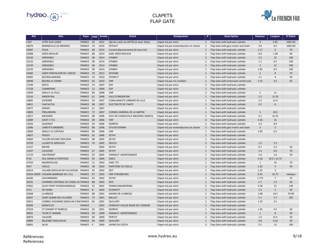

# CLAPETS FLAP GATE

| <b>Ref</b>       | <b>Site</b>                             | <b>Pays</b>   | $\vert$ Dép $^{\rm t}\vert$ | Année | <b>Client</b>                        | <b>Désignation</b>                    | #              | <b>Description</b>                    | <b>Hauteur</b> | <b>Largeur</b>  | <b>D</b> Palier |
|------------------|-----------------------------------------|---------------|-----------------------------|-------|--------------------------------------|---------------------------------------|----------------|---------------------------------------|----------------|-----------------|-----------------|
| C <sub>107</sub> | <b>VITRY AUX LOGES</b>                  | FRANCE 45     |                             | 2021  | Dpt du Loiret via ARTELIA avec Sethy | Clapet mû par vérin                   | $\vert$ 1      | Flap Gate with hydraulic cylinder     | $\overline{3}$ | 5.85            | 100/120         |
| 24079            | <b>BONNEVILLE (LE BRONZE)</b>           | FRANCE        | 74                          | 2016  | PETAVIT                              | Clapet mû par motoréducteur et chaine |                | Flap Gate with gear motor and chain   | 3.8            | 9.5             | 100/120         |
| 23087            | <b>FISLIS</b>                           | FRANCE 68     |                             | 2015  | Conseil départemental du haut rhin   | Clapet mû par vérin                   |                | Flap Gate with hydraulic cylinder     | 1.17           | 6               | 70              |
| 22068            | <b>GROS MOULIN</b>                      | FRANCE 88     |                             | 2014  | <b>SARL GROS MOULIN</b>              | Clapet mû par vérin                   |                | Flap Gate with hydraulic cylinder     | 0.8            | 1.38            | 40              |
| 22150            | <b>GRENOBLE</b>                         | FRANCE 38     |                             | 2014  | <b>SYMBHI</b>                        | Clapet mû par vérin                   |                | Flap Gate with hydraulic cylinder     | 2.5            | 12              | 100             |
| 22150            | <b>GRENOBLE</b>                         | FRANCE 38     |                             | 2014  | <b>SYMBHI</b>                        | Clapet mû par vérin                   |                | Flap Gate with hydraulic cylinder     | 1.2            | 6.5             | 100             |
| 22150            | <b>GRENOBLE</b>                         | FRANCE 38     |                             | 2014  | <b>SYMBHI</b>                        | Clapet mû par vérin                   |                | Flap Gate with hydraulic cylinder     | $\overline{2}$ | 11              | 100             |
| 22150            | <b>GRENOBLE</b>                         | FRANCE 38     |                             | 2014  | <b>SYMBHI</b>                        | Clapet mû par vérin                   |                | Flap Gate with hydraulic cylinder     | 1.85           | 8.5             | 100             |
| 21082            | SAINT PANTALEON DE L'ARCHE              | FRANCE 19     |                             | 2013  | <b>SEVIGNE</b>                       | Clapet mû par vérin                   |                | Flap Gate with hydraulic cylinder     | $\overline{2}$ | 8               | 70              |
| 19045            | <b>BOURGUIGNONS</b>                     | FRANCE        | 10                          | 2010  | <b>HYDROP</b>                        | Clapet mû par vérin                   |                | Flap Gate with hydraulic cylinder     | 2.1            | $\overline{4}$  | 50              |
| 19048            | <b>BOURG et COMIN</b>                   | FRANCE 02     |                             | 2010  | <b>VNF</b>                           | Clapet mû par cric oscillant          |                | Flap Gate with motorised ratchet jack | 1.55           | 3.5             | 65              |
| 17149            | <b>MOTZ</b>                             | FRANCE 74     |                             | 2007  | <b>EDF</b>                           | Clapet mû par vérin                   |                | Flap Gate with hydraulic cylinder     |                |                 |                 |
| 17128            | <b>CAMBEYRAC</b>                        | FRANCE 12     |                             | 2009  | EDF                                  | Clapet mû par vérin                   |                | Flap Gate with hydraulic cylinder     |                |                 |                 |
| 15099            | <b>MAILLY LA VILLE</b>                  | FRANCE 89     |                             | 2008  | <b>VNF</b>                           | Clapet mû par vérin                   |                | Flap Gate with hydraulic cylinder     | $\overline{2}$ | 11              |                 |
| 15216            | ARGENTAN                                | FRANCE 61     |                             | 2008  | <b>VILLE D'ARGENTAN</b>              | Clapet mû par vérin                   |                | Flap Gate with hydraulic cylinder     | $1.3$          | 11.35           |                 |
| 14685            | <b>ESPIERRE</b>                         | FRANCE        | 59                          | 2007  | COMMÛNAUTE URBAINE DE LILLE          | Clapet mû par vérin                   |                | Flap Gate with hydraulic cylinder     | 1.5            | 12.4            |                 |
| 14651            | <b>FAATAUTIA</b>                        | FRANCE 98     |                             | 2007  | <b>ELECTRICITE DE TAHITI</b>         | Clapet mû par vérin                   |                | Flap Gate with hydraulic cylinder     | 2.2            | 6               |                 |
| 14977            | <b>DIENAY</b>                           | FRANCE 21     |                             | 2007  |                                      | Clapet mû par vérin                   |                | Flap Gate with hydraulic cylinder     |                |                 |                 |
| 13803            | PRELANDON                               | FRANCE        | 72                          | 2007  | CONSEIL GENERAL DE LA SARTHE         | Clapet mû par vérin                   |                | Flap Gate with hydraulic cylinder     | $\overline{2}$ | 18.5            |                 |
| 12017            | <b>MEZIERES</b>                         | FRANCE 08     |                             | 2006  | SIVU DE CHARLEVILLE MEZIERES-WARCQ   | Clapet mû par vérin                   |                | Flap Gate with hydraulic cylinder     | 3.1            | 15.55           |                 |
| 12089            | <b>GIVET 2 TC1</b>                      | FRANCE 08     |                             | 2006  | <b>VNF</b>                           | Clapet mû par vérin                   |                | Flap Gate with hydraulic cylinder     | 4.16           | 15              |                 |
| 13226            | <b>QUESNOY</b>                          | FRANCE        | 59                          | 2006  | NORPAC                               | Clapet mû par vérin                   |                | Flap Gate with hydraulic cylinder     | 3.3            | 8.9             |                 |
| 13396            | <b>LAMOTTE BREBIERE</b>                 | <b>FRANCE</b> | 80                          | 2006  | STUCKY/VENNA                         | Clapet mû par motoréducteur et chaine |                | Flap Gate with gear motor and chain   | $\overline{3}$ | 5               |                 |
| 13683            | MAILLY LE CHÂTEAU                       | FRANCE 89     |                             | 2006  | <b>VNF</b>                           | Clapet mû par vérin                   |                | Flap Gate with hydraulic cylinder     | 1.85           | 6.5             |                 |
| 14057            | <b>PROISY</b>                           | FRANCE        | 02                          | 2006  | <b>SETHY</b>                         | Clapet mû par vérin                   |                | Flap Gate with hydraulic cylinder     |                |                 |                 |
| 10384            | <b>VILLERS DEVANT MOUZON</b>            | FRANCE 08     |                             | 2005  | SETHY                                | Clapet mû par vérin                   |                | Flap Gate with hydraulic cylinder     |                |                 |                 |
| 10750            | LA MOTTE SERVOLEX                       | FRANCE        | 74                          | 2005  | SOCCO                                | Clapet mû par vérin                   |                | Flap Gate with hydraulic cylinder     | 1.5            | 7.5             |                 |
| 11157            | <b>BIEVRE</b>                           | <b>FRANCE</b> |                             | 2005  | <b>SETHY</b>                         | Clapet mû par vérin                   |                | Flap Gate with hydraulic cylinder     | 0.7            | 2.5             | 50              |
| 11337            | <b>LOUVIERS</b>                         | FRANCE 27     |                             | 2005  | SETHY                                | Clapet mû par vérin                   |                | Flap Gate with hydraulic cylinder     | 1.5            | 6.9             | 70              |
| 11719            | <b>HAUTMONT</b>                         | FRANCE 59     |                             | 2005  | HAINAUT- MAINTENANCE                 | Clapet mû par vérin                   |                | Flap Gate with hydraulic cylinder     | 1.6            | 1.6             | 50              |
| 9735             | <b>ISLE ADAM et PONTOISE</b>            | FRANCE 95     |                             | 2004  | <b>EMCC</b>                          | Clapet mû par vérin                   |                | Flap Gate with hydraulic cylinder     | 4.18           | 34.5 / 12.75    |                 |
| 37520            | NEGREPELISSE                            | FRANCE 12     |                             | 2003  | <b>SARL TTS</b>                      | Clapet mû par vérin                   |                | Flap Gate with hydraulic cylinder     | $\mathbf{1}$   | 10              | 70              |
| 5927             | <b>VIZILLE</b>                          | FRANCE 38     |                             | 2003  | PAPETERIE DE VIZILLE                 | Clapet mû par vérin                   |                | Flap Gate with hydraulic cylinder     | 1.35           | 5               | 50              |
| 35014            | VILLABE (MOULIN DE VILLOISON)           | FRANCE 45     |                             | 2002  | SEIT                                 | Clapet mû par vérin                   |                | Flap Gate with hydraulic cylinder     | 1.25           | $\overline{3}$  |                 |
| 35016-35039      | <b>COLMAR (BARRAGE DE L'ILL)</b>        | FRANCE 67     |                             | 2002  | <b>VNF STRASBOURG</b>                | Clapet mû par vérin                   |                | Flap Gate with hydraulic cylinder     | 0.55           | 31.75           | lubaqua         |
| 36340            | <b>SAVONNIERES</b>                      | FRANCE 45     |                             | 2002  | <b>SETHY</b>                         | Clapet mû par vérin                   |                | Flap Gate with hydraulic cylinder     | 1.773          | $7\overline{ }$ | 70              |
| 35031            | CHARMES CENTRALE DU CANAL DU FRANCE     |               | 88                          | 2002  | <b>EVH</b>                           | Clapet mû par vérin                   |                | Flap Gate with hydraulic cylinder     | 2.7            | 1.5             | 50              |
| 37661            | AUCH PONT D'ENDOUMINGUE                 | FRANCE 32     |                             | 2002  | <b>VENNA ENGINEERING</b>             | Clapet mû par vérin                   | $\overline{2}$ | Flap Gate with hydraulic cylinder     | 3.58           | 15              | 140             |
| 6711             | <b>DE HOND</b>                          | FRANCE B      |                             | 2002  | <b>ECOWATT</b>                       | Clapet mû par vérin                   |                | Flap Gate with hydraulic cylinder     | 1.5            | 5               | 50              |
| 33268            | LA BRESSE                               | FRANCE 88     |                             | 2001  | MAIRIE DE LA BRESSE                  | Clapet mû par vérin                   |                | Flap Gate with hydraulic cylinder     | 1.08           | 10.5            | 70-90           |
| 34347            | SAINT ALBAN DES VILLARDS                | FRANCE        | 73                          | 2001  | <b>BALLOT</b>                        | Clapet mû par vérin                   |                | Flap Gate with hydraulic cylinder     | 2.1            | 7.2             | 105             |
| 35011            | CORBEIL ESSONNES (MOULIN D'AN FRANCE 94 |               |                             | 2001  | <b>QUILLERY</b>                      | Clapet mû par vérin                   |                | Flap Gate with hydraulic cylinder     | 1.25           | 2.5             |                 |
| 36309            | <b>MONTCLEY</b>                         | <b>FRANCE</b> |                             | 2001  | SYNDICAT VALLEE BASSE DE L'OGNON     | Clapet mû par vérin                   |                | Flap Gate with hydraulic cylinder     |                |                 |                 |
| 37529            | <b>ST VENANT ET ROBECQ</b>              | FRANCE 59     |                             | 2001  | NORPAC                               | Clapet mû par vérin                   |                | Flap Gate with hydraulic cylinder     | 1.45           | 4.5             | 50              |
| 30831            | <b>THUN ST AMAND</b>                    | FRANCE 59     |                             | 2000  | HAINAUT- MAINTENANCE                 | Clapet mû par vérin                   |                | Flap Gate with hydraulic cylinder     | $\mathbf{1}$   | 8               | 50              |
| 30879            | VALDOIE                                 | FRANCE 90     |                             | 2000  | <b>PERTUY</b>                        | Clapet mû par vérin                   |                | Flap Gate with hydraulic cylinder     | 1.3            | 15.5            | 50              |
| 30889            | <b>BELESBAT MOULIN DE</b>               | FRANCE 94     |                             | 2000  | <b>QUILLERY</b>                      | Clapet mû par vérin                   |                | Flap Gate with hydraulic cylinder     | 0.8            | 4.24            | 50              |
| 30891            | <b>ALVA</b>                             | FRANCE P      |                             | 2000  | JAYME DA COSTA                       | Clapet mû par vérin                   |                | Flap Gate with hydraulic cylinder     | 2.5            | 13              | 100             |
|                  |                                         |               |                             |       |                                      |                                       |                |                                       |                |                 |                 |

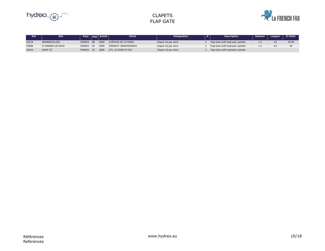

# CLAPETS FLAP GATE

| <b>Ref</b> | <b>Site</b>          | <b>Pays</b> | $ \mathsf{D\acute{e}p}^{\mathsf{t}} $ Année $ \mathsf{D\acute{e}p}^{\mathsf{t}} $ | Client <sup>1</sup>         | <b>Désignation</b>  | <b>Description</b>                | <b>Hauteur</b> | Largeur | <b>D</b> Palier |
|------------|----------------------|-------------|-----------------------------------------------------------------------------------|-----------------------------|---------------------|-----------------------------------|----------------|---------|-----------------|
| 33274      | <b>RAMBERVILLERS</b> | FRANCE 88   | <b>2000</b>                                                                       | CHÂTEAU DE LA FORGE         | Clapet mû par vérin | Flap Gate with hydraulic cylinder | 1.5            | 10      | 70-90           |
| 34308      | ST AMAND LES EAUX    | FRANCE 59   | 2000                                                                              | HAINAUT- MAINTENANCE        | Clapet mû par vérin | Flap Gate with hydraulic cylinder | .              | 4.3     | 50              |
| 34324      | SAINT LÔ             | FRANCE 14   | 2000                                                                              | <b>ETS LA FOSSE ET FILS</b> | Clapet mû par vérin | Flap Gate with hydraulic cylinder |                |         |                 |

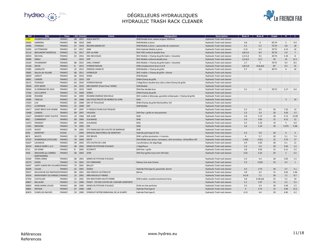

# DÉGRILLEURS HYDRAULIQUES HYDRAULIC TRASH RACK CLEANER

| <b>Ref</b>       | <b>Site</b>                         | <b>Pays</b>   | Dé Année             | <b>Client</b>                                | <b>Désignation</b>                                              | <b>Description</b>           | <b>Bras A</b> | <b>Bras B</b> | Angle           | н.    | . L .          |
|------------------|-------------------------------------|---------------|----------------------|----------------------------------------------|-----------------------------------------------------------------|------------------------------|---------------|---------------|-----------------|-------|----------------|
| C <sub>099</sub> | <b>RAMBERVILLERS</b>                | <b>FRANCE</b> | 88 2021              | AQUA WATTS                                   | DHB Double bras, rateau largeur 3200mm                          | Hydraulic Trash rack cleaner |               |               |                 |       |                |
| 26065            | <b>JARMENIL</b>                     | FRANCE        | 88<br>2018           | GME                                          | DHB Mobile à pince                                              | Hydraulic Trash rack cleaner | 4.8           | 6             | $65^{\circ}/H$  |       | 9.4            |
| 26086            | STEINSAU                            | <b>FRANCE</b> | 67<br>2018           | <b>REGION GRAND EST</b>                      | DHB Mobile à pince + passerelle de roulement                    | Hydraulic Trash rack cleaner | 3.1           | 5.2           | $72^{\circ}/H$  | 3.8   | 18             |
| 25095            | HUTTENHEIM                          | <b>FRANCE</b> | 67 2017              | GME                                          | DHA Hybride Mobile à pince                                      | Hydraulic Trash rack cleaner | 3.15          | 5.3           | $33^{\circ}/V$  | 4.15  | 16             |
| 25113            | <b>BEAUMONT MONTEUX</b>             | <b>FRANCE</b> | 26 2017              | <b>EDF</b> via HSM                           | DHC FIXE renforcé double bras                                   | Hydraulic Trash rack cleaner | $4,8+3,5$     | 8.4           | $35^{\circ}/H$  | 5.9   |                |
| 26054            | <b>NEUVIAL</b>                      | FRANCE        | $ 03\rangle$<br>2016 | SNC NEUVIALEC                                | DHC Mobile + Champ de grille hydro + Goulotte                   | Hydraulic Trash rack cleaner | $2,5+5,3$     | 9.5           | $26^{\circ}/H$  | 5.34  | 8              |
| 23084            | KIBALI                              | <b>CONGO</b>  | 2015                 | HPP                                          | DHC Mobile renforcé double bras                                 | Hydraulic Trash rack cleaner | $2,5+6,5$     | 12.5          | 45              | 14    | 22.1           |
| 23103            | THUNIMONT                           | FRANCE        | 88 2015              | SARL LYONNET                                 | DHA Mobile + Champ de grille hydro + Goulotte                   | Hydraulic Trash rack cleaner | 2.7           | 5             | $70^{\circ}/V$  | 3.5   | 8.5            |
| 23148            | <b>REVIN</b>                        | <b>FRANCE</b> | 2015<br>8            | <b>HYDROSTADIUM</b>                          | DHB remplacement bras A et B                                    | Hydraulic Trash rack cleaner | $3,8+2,8$     | 10,8 plié     | $45^\circ$      | 9.3   | 25             |
| 21085            | LAMALATE                            | FRANCE        | 25<br>2013           | <b>ENERGIE LAMALTE</b>                       | DHB Mobile + Champ de grille                                    | Hydraulic Trash rack cleaner | 4.7           | 6.6           | $40^{\circ}/V$  | 6     | 16             |
| 19065            | Moulin de VILLARS                   | <b>FRANCE</b> | 86 2011              | <b>HYDROCOP</b>                              | DHC mobile + Champ de grille + drome                            | Hydraulic Trash rack cleaner |               |               |                 |       |                |
| 18059            | <b>JONCET</b>                       | FRANCE        | 66 2010              | SHEM                                         | <b>DHB Mobile</b>                                               | Hydraulic Trash rack cleaner |               |               |                 |       |                |
| 18081            | <b>CAMON</b>                        | <b>FRANCE</b> | 31 2010              | EDF                                          | DHB+Champ de grille                                             | Hydraulic Trash rack cleaner |               |               |                 |       |                |
| 18115            | <b>ITXASSOU</b>                     | FRANCE        | 64<br>2010           | <b>HYDROSTADIUM</b>                          | 2 Dégrilleurs double bras côte à côte+Champ de grille           | Hydraulic Trash rack cleaner |               |               |                 |       |                |
| 19020            | ASTE-BEON                           | <b>FRANCE</b> | 64 2010              | MECAMONT (Client final: SHEM)                | <b>DHB Mobile</b>                                               | Hydraulic Trash rack cleaner |               |               |                 |       |                |
| 20044            | <b>St GERMAIN DE JOUX</b>           | FRANCE        | $ 01 $ 2010          | FAMY                                         | DHA fixe double bras                                            | Hydraulic Trash rack cleaner | 3.1           | 2.1           | $20^{\circ}/V$  | 2.17  | 6.6            |
| 17262            | <b>LES CLAPEYS</b>                  | <b>FRANCE</b> | 73<br>2009           | SOREA                                        | DHB+Champ de grille                                             | Hydraulic Trash rack cleaner |               |               |                 |       |                |
| 18188            | ROANNE                              | <b>FRANCE</b> | 42 2009              | <b>ROANNE ENERGIE NOUVELLE</b>               | DHC mobile à télescope, goulotte embarquée + Champ de grille    | Hydraulic Trash rack cleaner |               |               |                 |       |                |
| 14985            | <b>TANCUA</b>                       | <b>FRANCE</b> | 39<br>2008           | SAS D'ELECTRICITE DE MOREZ DU JURA           | DHA                                                             | Hydraulic Trash rack cleaner |               |               |                 | 3     | 10             |
| 17023            | LUZ                                 | FRANCE        | 65<br>2008           | <b>EDF UP TOULOUSE</b>                       | DHB+Champ de grille+Rechauffeur GH                              | Hydraulic Trash rack cleaner |               |               |                 |       |                |
| 17071            | LE REFRAIN                          | <b>FRANCE</b> | 25 <br>2008          | <b>EDF</b>                                   | <b>DHB Mobile</b>                                               | Hydraulic Trash rack cleaner |               |               |                 |       |                |
| 14477            | <b>SAINT BRICE SUR VIENNE</b>       | FRANCE        | 87 2007              | <b>FJ PRODUCTIONS ELECTRIQUES</b>            |                                                                 | Hydraulic Trash rack cleaner | 5.5           | 6.5           | 20              | 7.25  | 13             |
| 13498            | <b>CANDOL</b>                       | <b>FRANCE</b> | 89<br>2007           | <b>VAUDOIS</b>                               | DHA fixe + grille en tole perforée                              | Hydraulic Trash rack cleaner | 3.3           | 3.4           | 20              | 3.65  | 1.5            |
| 12427            | <b>BARBEREY SAINT SULPICE</b>       | FRANCE        | $ 10\rangle$<br>2006 | <b>SDE AUBE</b>                              | DHB                                                             | Hydraulic Trash rack cleaner | 3.8           | 5.72          | 28              | 4.72  | 15.09          |
| 9062             | <b>COMMISSEY</b>                    | <b>FRANCE</b> | 89<br>2005           | <b>ICAUNAISE</b>                             | DHB                                                             | Hydraulic Trash rack cleaner | 3.4           | 4.95          | 15              | 4.51  | 12             |
| 11072            | FRANGEY                             | FRANCE        | 89<br>2005           | <b>ICAUNAISE</b>                             | DHA                                                             | Hydraulic Trash rack cleaner | 3.5           | 5.23          | 19              |       | 6.9            |
| 11491            | <b>BRIDOIRE</b>                     | <b>FRANCE</b> | 73 2005 EDF          |                                              | DHB                                                             | Hydraulic Trash rack cleaner | 3.6           | 5.32          | 20 <sub>2</sub> | 5.075 | 5.98           |
| 11370            | <b>RUDET</b>                        | FRANCE        | 56<br>2005           | STE FRANCAISE DES CHUTES DE BARRAGE          | DHB                                                             | Hydraulic Trash rack cleaner |               |               |                 |       |                |
| 8336             | <b>MONTHEY</b>                      | <b>SUISSE</b> | 2004                 | SERVICES INDUSTRIELS DE MONTHEY              | Hybride pied type B, fixe                                       | Hydraulic Trash rack cleaner | 4.3           | 5.9           | 20              | 6     | $\overline{4}$ |
| 8674             | <b>BAIGTS</b>                       | FRANCE        | $ 19\rangle$<br>2004 | <b>EDF BRIVES</b>                            | DHB + grilles pivotantes + 4 vannes                             | Hydraulic Trash rack cleaner | 4             | 5.7           | 20              | 5.1   | 7.4            |
| 37537            | <b>DUNKERQUE (4 ECLUSE)</b>         | <b>FRANCE</b> | 2003<br>59           | <b>EDITP</b>                                 | DHA Mobil avec pince, convoyeur, alim enrouleur, réchauffeur GH | Hydraulic Trash rack cleaner | 2.365         | 4.351         | 15              | 3.75  | 17             |
| 35027            | <b>LAVANCIA</b>                     | FRANCE        | 39<br>2002           | <b>STE CHUTES DE L'AIN</b>                   | 2 profondeurs de dégrillage                                     | Hydraulic Trash rack cleaner | 4.9           | 4.05          | 28              | 6.1   | 11             |
| 36334            | AMELIE NORD 1 et 2                  | <b>FRANCE</b> | 68 2002              | MINES DE POTASSE D'ALSACE                    | 2 dégrilleurs                                                   | Hydraulic Trash rack cleaner | 3.3           | 3.4           | 20              | 3.65  | 1.5            |
| 6712             | <b>DE HOND</b>                      | FRANCE        | B<br>2002            | ECOWATT                                      | $DHA$ fixe + grille                                             | Hydraulic Trash rack cleaner | 3.8           | 4.95          | 15              | 4.11  | 3.5            |
| 7818             | MOUGINS (ex CANNES-<br>NARTASSIERS) | <b>FRANCE</b> | 2002<br>06           | GTM                                          | DHA fixe+grille+conv+arm GH+elec                                | Hydraulic Trash rack cleaner | 3.35          | 4.25          | 20              |       | 3.3            |
| 33264            | <b>TERRIL ANNA</b>                  | FRANCE        | 68 2001              | MINES DE POTASSE D'ALSACE                    |                                                                 | Hydraulic Trash rack cleaner | 3.3           | 3.4           | 20              | 3.65  | 1.5            |
| 33273            | <b>OISSEL</b>                       | <b>FRANCE</b> | 76 2001              | <b>STE YORKSHIRE</b>                         | Rateau inox avec brosse                                         | Hydraulic Trash rack cleaner | 3.3           | 3.925         | 23              | 4.5   | -1             |
| 34347            | SAINT ALBAN DES VILLARDS FRANCE     |               | 73 <br>$ 2001$       | <b>BALLOT</b>                                |                                                                 | Hydraulic Trash rack cleaner |               |               |                 |       |                |
| 35009            | <b>CALAIS</b>                       | <b>FRANCE</b> | 62 2001              | SOGEA                                        | Hybride Pied type B, passerelle, benne                          | Hydraulic Trash rack cleaner | 3.5           | 3.75          | 20              | 3.7   | 5.1            |
| 35017            | MULHOUSE (ILE NAPOLEON FRANCE       |               | 68 2001              | <b>DDE SERVICE AUTOROUTE</b>                 | Benne                                                           | Hydraulic Trash rack cleaner | 3.8           | 4.5           | 15              | 4.65  | 2.46           |
| 35024            | MONTAGNEY LES FORGES L FRANCE       |               | 25 <br>2001          | <b>MRS MOUILLET FRERES</b>                   |                                                                 | Hydraulic Trash rack cleaner | $3 + 2.8$     | 7.1           | 30 <sup>°</sup> | 7.2   | 8.7            |
| 37544            | <b>CHATILLON</b>                    | FRANCE        | 25 <br>2001          | <b>EDF MOUTHIER HAUTE PIERRE</b>             | DHB mobile, roulette écartement bras                            | Hydraulic Trash rack cleaner | 3.8           | 6.58 plié     | 25              | 5.2   | 10             |
| 30847            | <b>BILLAUDE</b>                     | <b>FRANCE</b> | 21 2000              | PAGET - STE DES CHUTES DE L'AIN MR LEONFORTE |                                                                 | Hydraulic Trash rack cleaner | 3.1           | 3.47          | 15              | 2.5   | 2.5            |
| 30850            | MINE MARIE LOUISE                   | FRANCE        | 68 2000              | MINES DE POTASSE D'ALSACE                    | Grille en tole perforée                                         | Hydraulic Trash rack cleaner | 3.3           | 3.4           | 20 <sub>2</sub> | 3.64  | 1.5            |
| 30861            | <b>ERSTEIN</b>                      | <b>FRANCE</b> | 67<br>2000           | <b>UME</b>                                   | Hybride Pied type B                                             | Hydraulic Trash rack cleaner | 4             | 4.75          | 15              | 4.85  | 13.2           |
| 30874            | <b>FLINES LES RACHES</b>            | FRANCE        | 59<br>2000           | SYNDICAT INTERCOMMUNAL DE LA SCARPE          | Hybride Pied type B                                             | Hydraulic Trash rack cleaner | 4.15          | 4.6           | 20              | 4.82  | 4.2            |

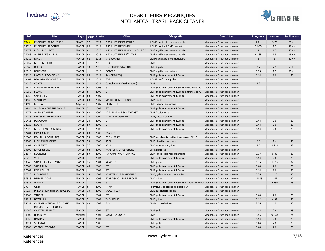

# DÉGRILLEURS MÉCANIQUES MECHANICAL TRASH RACK CLEANER

| <b>Ref</b>       | <b>Site</b>                       | <b>Pays</b>   | Dép <sup>t</sup> | <b>Année</b> | <b>Client</b>                   | <b>Désignation</b>                                                         | <b>Description</b>            | Longueur       | <b>Hauteur</b> | <b>Inclinaison</b> |
|------------------|-----------------------------------|---------------|------------------|--------------|---------------------------------|----------------------------------------------------------------------------|-------------------------------|----------------|----------------|--------------------|
| C <sub>049</sub> | PISCICULTURE DE L'EURE            | <b>FANCE</b>  | 27               | 2021         | PISCICULTURE DE L'EURE          | 1 DM6 neuf + 1 champ de grille                                             | Mechanical Trash rack cleaner | 2.71           | 3.79           | 25/H               |
| 26024            | <b>PISCICULTURE SOHIER</b>        | FRANCE 80     |                  | 2018         | <b>PISCICULTURE SOHIER</b>      | 1 DM6 neuf + 1 DM6 rénové                                                  | Mechanical Trash rack cleaner | 2.955          | 1.5            | 53/H               |
| 24072            | <b>MOULIN DU ROY</b>              | FRANCE 62     |                  | 2016         | PISCICULTURE DU MOULIN DU ROY   | DM6 + grille pisciculture mobile                                           | Mechanical Trash rack cleaner | $\overline{3}$ | 1.5            | 55/H               |
| 25063            | <b>AUTHIE DEGRILLEUR</b>          | FRANCE 62     |                  | 2016         | PISCICULTURE DE L'AUTHIE        | DM6 + grille pisciculture mobile                                           | Mechanical Trash rack cleaner | 4.235          | 1.3            | 38/H               |
| 24019            | <b>ETRUN</b>                      | FRANCE 62     |                  | 2015         | <b>SAE ROHART</b>               | DM Pisciculture Inox modulaire                                             | Mechanical Trash rack cleaner | $\overline{3}$ | 3              | 40/H               |
| 21057            | <b>MOULIN LEGER</b>               | <b>FRANCE</b> |                  | 2013         | ER31                            | DM8                                                                        | Mechanical Trash rack cleaner |                |                |                    |
| 21068            | <b>BREDA</b>                      | FRANCE 38     |                  | 2013         | EDF / HYDROSTADIUM              | $DM6 + grille$                                                             | Mechanical Trash rack cleaner | 3.7            | 2.5            | 53/H               |
| 22013            | <b>BEUSSENT</b>                   | <b>FRANCE</b> |                  | 2013         | <b>GOBERT</b>                   | DM6 + grille pisciculture                                                  | Mechanical Trash rack cleaner | 5.55           | 1.5            | $60/$ H            |
| 20114            | <b>LAVAL SUR VOLOGNE</b>          | FRANCE 88     |                  | 2012         | <b>IMHOFF (PDV)</b>             | DMF grille écartement 1.5mm                                                | Mechanical Trash rack cleaner | 1.44           | 2.6            | 25                 |
| 19101            | <b>BEAUMONT-MONTEUX</b>           | FRANCE 26     |                  | 2011         | <b>EDF</b>                      | 1 DM8 renforcé + grille                                                    | Mechanical Trash rack cleaner |                |                |                    |
| 20089            | <b>CONTE</b>                      | <b>FRANCE</b> |                  | 2011         | Contelec GIROD (thee toul)      | DM8                                                                        | Mechanical Trash rack cleaner | 2.9            |                |                    |
| 14627            | <b>CLERMONT FERRAND</b>           | FRANCE 63     |                  | 2008         | GTI                             | DMF grille écartement 1.5mm, entretoises 70,                               | Mechanical Trash rack cleaner |                |                |                    |
| 15056            | SEDAN                             | FRANCE 8      |                  | 2008         | GTI                             | DMF grille écartement 1.5mm, entretoises 70                                | Mechanical Trash rack cleaner |                |                |                    |
| 13059            | SAINT DIE 2                       | FRANCE 88     |                  | 2007         | GTI                             | DMF grille écartement 1.5mm                                                | Mechanical Trash rack cleaner |                |                |                    |
| 13135            | <b>SENTHEIM</b>                   | FRANCE 68     |                  | 2007         | <b>MAIRIE DE MULHOUSE</b>       | DMA+grille                                                                 | Mechanical Trash rack cleaner |                |                |                    |
| 13193            | MOHA <sub>2</sub>                 | Belgique      |                  | 2007         | <b>CARMEUSE</b>                 | DMB+vanne+serrurerie                                                       | Mechanical Trash rack cleaner |                |                |                    |
| 13984            | <b>VILLEFRANCHE SUR SAONE</b>     | FRANCE 71     |                  | 2007         | GTI                             | DMF grille écartement 1.5mm                                                | Mechanical Trash rack cleaner |                |                |                    |
| 14071            | <b>ANZIN ST AUBIN</b>             | FRANCE 62     |                  | 2007         | SAE DU MONT SAINT VAAST         | <b>DMB Pisciculture</b>                                                    | Mechanical Trash rack cleaner |                |                |                    |
| 14128            | <b>FRESSE EN MONTAGNE</b>         | FRANCE 70     |                  | 2007         | <b>SARL LA JACQUARD</b>         | DMB, rateau en PEHD                                                        | Mechanical Trash rack cleaner |                |                |                    |
| 11411            | PERIGUEUX                         | FRANCE 24     |                  | 2006         | GTI                             | DMF grille écartement 1.5mm                                                | Mechanical Trash rack cleaner | 1.44           | 2.6            | 25                 |
| 12320            | <b>DOUAI</b>                      | FRANCE 59     |                  | 2006         | GTI                             | DMF grille écartement 1.5mm                                                | Mechanical Trash rack cleaner | 1.44           | 2.6            | 25                 |
| 12323            | MONTCEAU LES MINES                | FRANCE 71     |                  | 2006         | GTI                             | DMF grille écartement 1.5mm                                                | Mechanical Trash rack cleaner | 1.44           | 2.6            | 25                 |
| 12404            | KAYSERSBERG                       | FRANCE 68     |                  | 2006         | <b>DSSmith</b>                  |                                                                            | Mechanical Trash rack cleaner |                |                |                    |
| 12945            | DOUAI (LA SOLITUDE)               | FRANCE 59     |                  | 2006         | <b>BRGM DPSM</b>                | DMB sur chassis oscillant, rateau en PEHD                                  | Mechanical Trash rack cleaner |                |                |                    |
| 10065            | <b>MARLES LES MINES</b>           | FRANCE 59     |                  | 2005         | SADE                            | DMA chevillé aux murs                                                      | Mechanical Trash rack cleaner | 6.4            | 1.4            | 30 <sup>°</sup>    |
| 10101            | <b>CHARENCY</b>                   | FRANCE 57     |                  | 2005         | SAUR                            | DMD tout inox + grille                                                     | Mechanical Trash rack cleaner | 1.6            | 2.112          | 37                 |
| 10509            | KAYSERSBERG                       | FRANCE 68     |                  | 2005         | PAPETERIE KAYSERSBERG           | Grille perforée                                                            | Mechanical Trash rack cleaner |                |                |                    |
| 12544            | <b>LOURCHES</b>                   | FRANCE 59     |                  | 2005         | <b>HAINAUT- MAINTENANCE</b>     | DMA+grille+tole raccordement                                               | Mechanical Trash rack cleaner | 3.77           | 5.88           | 25                 |
| 7171             | <b>VITRE</b>                      | <b>FRANCE</b> |                  | 2004         | GTI                             | DMF grille écartement 1.5mm                                                | Mechanical Trash rack cleaner | 1.44           | 2.6            | 25                 |
| 10348            | <b>SAINT JEAN EN ROYANS</b>       | FRANCE 26     |                  | 2004         | SANCHEZ                         | DMD grille                                                                 | Mechanical Trash rack cleaner | 1.95           | 1.815          | 37                 |
| 37506            | <b>SAINT ALBAN</b>                | FRANCE 48     |                  | 2003         | GTI                             | DMF grille écartement 1.5mm                                                | Mechanical Trash rack cleaner | 1.44           | 2.6            | 25                 |
| 37507            | <b>FOIX PAMIER</b>                | <b>FRANCE</b> |                  | 2003         | GTI                             | DMF grille écartement 1.5mm                                                | Mechanical Trash rack cleaner | 1.44           | 2.6            | 25                 |
| 37510            | <b>MANDEURE</b>                   | FRANCE 25     |                  | 2003         | PAPETERIE DE MANDEURE           | DMA, galva, support tête acier                                             | Mechanical Trash rack cleaner | 5.06           | 2.26           | 30 <sup>°</sup>    |
| 37528            | <b>HEIMERSDORF</b>                | FRANCE 68     |                  | 2003         | <b>EARL PISCICULTURE BECKER</b> | DMD grille                                                                 | Mechanical Trash rack cleaner | 1.1155         | 2.67           | 37                 |
| 37531            | <b>VIENNE</b>                     | <b>FRANCE</b> |                  | 2003         | GTI                             | DMF grille écartement 1.5mm (Dimension rédui Mechanical Trash rack cleaner |                               | 1.242          | 2.159          | 35                 |
| 7997             | <b>ORZY</b>                       | FRANCE 8      |                  | 2003         | FHYM                            | Fourniture de pièces de dégrilleur                                         | Mechanical Trash rack cleaner |                |                |                    |
| 7522             | <b>PRECY ST MARTIN BARRAGE DE</b> | FRANCE 10     |                  | 2003         | <b>SICAE PRECY</b>              | DMB sur chassis spécial                                                    | Mechanical Trash rack cleaner |                |                |                    |
| 36308            | <b>TARBES</b>                     | <b>FRANCE</b> |                  | 2002         | GTI                             | DMF grille écartement 1.5mm                                                | Mechanical Trash rack cleaner | 1.44           | 2.6            | 25                 |
| 36311            | <b>BAZEILLES</b>                  | FRANCE 51     |                  | 2002         | <b>THOURAUD</b>                 | DMD grille                                                                 | Mechanical Trash rack cleaner | 1.42           | 4.93           | 30 <sup>°</sup>    |
| 35031            | CHARMES CENTRALE DU CANAL         | FRANCE 88     |                  | 2002         | <b>EVH</b>                      | DMB-cache chaines                                                          | Mechanical Trash rack cleaner | 3.66           | 4.3            | 30 <sup>°</sup>    |
|                  | DU MOULIN DU PAQUIS               |               |                  |              |                                 |                                                                            |                               |                |                |                    |
| 33262            | CHATTELLERAULT                    | <b>FRANCE</b> |                  | 2001         | GTI                             | DMF grille                                                                 | Mechanical Trash rack cleaner | 1.44           | 2.6            | 25                 |
| 34302            | <b>RIBA D'AVE</b>                 | Portugal      |                  | 2001         | JAYME DA COSTA                  | <b>DMA</b>                                                                 | Mechanical Trash rack cleaner | 5.45           | 9.078          | 24                 |
| 34350            | <b>BASTIA 2</b>                   | <b>FRANCE</b> |                  | 2001         | GTI                             | DMF grille écartement 1.5mm                                                | Mechanical Trash rack cleaner | 1.44           | 2.6            | 25                 |
| 30811            | SELESTAT                          | <b>FRANCE</b> |                  | 2000         | GTI                             | DMF grille                                                                 | Mechanical Trash rack cleaner | 1.44           | 2.6            | 25                 |
| 30883            | <b>CORBEIL ESSONNE</b>            | <b>FRANCE</b> |                  | 2000         | GTI                             | DMF grille                                                                 | Mechanical Trash rack cleaner | 1.44           | 2.6            | 25                 |

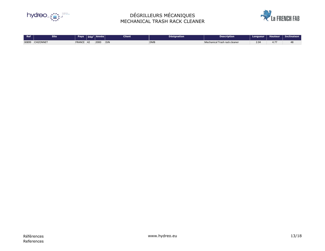

# DÉGRILLEURS MÉCANIQUES MECHANICAL TRASH RACK CLEANER

| $\overline{\phantom{a}}$ Ref | <b>Site</b>      | <b>Pays</b> | Dén'             | <b>N</b> Année | <b>Client</b> | Désignation | Description                        | Longueur,  | <b>Hauteur</b>          | <b>Inclinaison</b> |
|------------------------------|------------------|-------------|------------------|----------------|---------------|-------------|------------------------------------|------------|-------------------------|--------------------|
| 30899                        | <b>CHIZONNET</b> | FRANCE      | $\sqrt{2}$<br>42 | 2000           | <b>DJN</b>    | <b>DMB</b>  | l Trash rack cleaner<br>Mechanical | ົດ.<br>ں.ت | 177<br>4.1 <sub>1</sub> | 48                 |

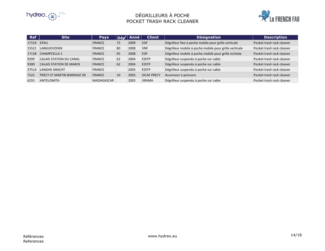

#### DÉGRILLEURS À POCHE POCKET TRASH RACK CLEANER



| <b>Ref</b> | <b>Site</b>                    | <b>Pays</b>   |    | $\overline{\mathsf{D}\check{\mathsf{e}}\mathsf{n}^\mathsf{t}}$ Anné | <b>Client</b>      | <b>Désignation</b>                                     | <b>Description</b>        |
|------------|--------------------------------|---------------|----|---------------------------------------------------------------------|--------------------|--------------------------------------------------------|---------------------------|
| 17154      | EPAU                           | <b>FRANCE</b> | 72 | 2009                                                                | <b>EDF</b>         | Dégrilleur fixe à poche mobile pour grille verticale   | Pocket trash rack cleaner |
| 15521      | LANGUEVOISIN                   | <b>FRANCE</b> | 80 | 2008                                                                | <b>VNF</b>         | Dégrilleur mobile à poche mobile pour grille verticale | Pocket trash rack cleaner |
| 17138      | CHAMPCELLA 1                   | <b>FRANCE</b> | 05 | 2008                                                                | <b>EDF</b>         | Dégrilleur mobile à poche mobile pour grille inclinée  | Pocket trash rack cleaner |
| 9299       | <b>CALAIS STATION DU CANAL</b> | <b>FRANCE</b> | 62 | 2004                                                                | <b>EDITP</b>       | Dégrilleur suspendu à poche sur cable                  | Pocket trash rack cleaner |
| 9300       | <b>CALAIS STATION DE MARCK</b> | <b>FRANCE</b> | 62 | 2004                                                                | <b>EDITP</b>       | Dégrilleur suspendu à poche sur cable                  | Pocket trash rack cleaner |
| 37514      | <b>LANGHE GRACHT</b>           | <b>FRANCE</b> |    | 2003                                                                | <b>EDITP</b>       | Dégrilleur suspendu à poche sur cable                  | Pocket trash rack cleaner |
| 7522       | PRECY ST MARTIN BARRAGE DE     | <b>FRANCE</b> | 10 | 2003                                                                | <b>SICAE PRECY</b> | Ascenseur à poissons                                   | Pocket trash rack cleaner |
| 6255       | ANTELOMITA                     | MADAGASCAR    |    | 2003                                                                | <b>JIRAMA</b>      | Dégrilleur suspendu à poche sur cable                  | Pocket trash rack cleaner |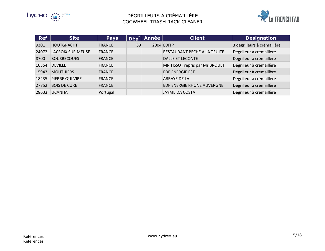



| <b>Ref</b> | <b>Site</b>              | <b>Pays</b>   | $D$ ép <sup>t</sup> | <b>Année</b> | <b>Client</b>                  | <b>Désignation</b>          |
|------------|--------------------------|---------------|---------------------|--------------|--------------------------------|-----------------------------|
| 9301       | <b>HOUTGRACHT</b>        | <b>FRANCE</b> | 59                  |              | 2004 EDITP                     | 3 dégrilleurs à crémaillère |
| 24072      | <b>LACROIX SUR MEUSE</b> | <b>FRANCE</b> |                     |              | RESTAURANT PECHE A LA TRUITE   | Dégrilleur à crémaillère    |
| 8700       | <b>BOUSBECQUES</b>       | <b>FRANCE</b> |                     |              | DALLE ET LECONTE               | Dégrilleur à crémaillère    |
| 10354      | <b>DEVILLE</b>           | <b>FRANCE</b> |                     |              | MR TISSOT repris par Mr BROUET | Dégrilleur à crémaillère    |
| 15943      | <b>MOUTHIERS</b>         | <b>FRANCE</b> |                     |              | <b>EDF ENERGIE EST</b>         | Dégrilleur à crémaillère    |
| 18235      | PIERRE QUI VIRE          | <b>FRANCE</b> |                     |              | <b>ABBAYE DE LA</b>            | Dégrilleur à crémaillère    |
| 27752      | <b>BOIS DE CURE</b>      | <b>FRANCE</b> |                     |              | EDF ENERGIE RHONE AUVERGNE     | Dégrilleur à crémaillère    |
| 28633      | <b>UCANHA</b>            | Portugal      |                     |              | <b>JAYME DA COSTA</b>          | Dégrilleur à crémaillère    |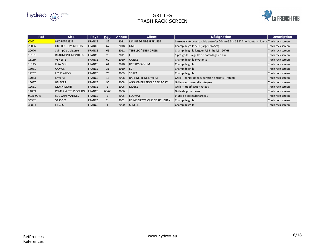

#### GRILLES TRASH RACK SCREEN

| <b>Ref</b> | <b>Site</b>                | <b>Pays</b>   | $\mathbf{D}\acute{\mathbf{e}}\mathbf{p}^{\mathsf{t}}$ | Année | <b>Client</b>                 | <b>Désignation</b>                                                                        | <b>Description</b> |
|------------|----------------------------|---------------|-------------------------------------------------------|-------|-------------------------------|-------------------------------------------------------------------------------------------|--------------------|
| C102       | <b>NEGREPELISSE</b>        | <b>FRANCE</b> | 82                                                    | 2021  | <b>MAIRIE DE NEGREPELISSE</b> | barreau ichtyocompatible entrefer 20mm-6.5m à 38° / horizontal -> longu Trach rack screen |                    |
| 25036      | <b>HUTTENHEIM GRILLES</b>  | <b>FRANCE</b> | 67                                                    | 2018  | <b>GME</b>                    | Champ de grille seul (largeur 6x5m)                                                       | Trach rack screen  |
| 20070      | Saint pé de bigorre        | <b>FRANCE</b> | 65                                                    | 2011  | TEDELEC / ENER GREEN          | Champ de grille largeur 7,55 - ht 4,5 - 26°/H                                             | Trach rack screen  |
| 19101      | BEAUMONT-MONTEUX           | <b>FRANCE</b> | 26                                                    | 2011  | <b>EDF</b>                    | 1 pré-grille + aiguille de batardage en alu                                               | Trach rack screen  |
| 18189      | <b>VENETTE</b>             | <b>FRANCE</b> | 60                                                    | 2010  | <b>QUILLE</b>                 | Champ de grille pivotante                                                                 | Trach rack screen  |
| 18115      | <b>ITXASSOU</b>            | <b>FRANCE</b> | 64                                                    | 2010  | <b>HYDROSTADIUM</b>           | Champ de grille                                                                           | Trach rack screen  |
| 18081      | <b>CAMON</b>               | <b>FRANCE</b> | 31                                                    | 2010  | <b>EDF</b>                    | Champ de grille                                                                           | Trach rack screen  |
| 17262      | <b>LES CLAPEYS</b>         | <b>FRANCE</b> | 73                                                    | 2009  | <b>SOREA</b>                  | Champ de grille                                                                           | Trach rack screen  |
| 17053      | LAVERA                     | <b>FRANCE</b> | 13                                                    | 2008  | RAFFINERIE DE LAVERA          | Grille + panier de récupération déchets + rateau                                          | Trach rack screen  |
| 15087      | <b>BELFORT</b>             | <b>FRANCE</b> | 90                                                    | 2008  | AGGLOMERATION DE BELFORT      | Grille avec passerelle intégrée                                                           | Trach rack screen  |
| 12651      | <b>MORNIMONT</b>           | <b>FRANCE</b> | B                                                     | 2006  | <b>MUYLE</b>                  | Grille + modification rateau                                                              | Trach rack screen  |
| 11839      | <b>KEMBS et STRASBOURG</b> | <b>FRANCE</b> | 68-68                                                 | 2006  |                               | Grille de prise d'eau                                                                     | Trach rack screen  |
| 9031-9746  | LOUVAIN-MALINES            | <b>FRANCE</b> | B                                                     | 2005  | <b>ECOWATT</b>                | Etude de grilles/batardeau                                                                | Trach rack screen  |
| 36342      | <b>VERSOIX</b>             | <b>FRANCE</b> | <b>CH</b>                                             | 2002  | USINE ELECTRIQUE DE RICHELIEN | Champ de grille                                                                           | Trach rack screen  |
| 30824      | <b>LIEGEOT</b>             | <b>FRANCE</b> | L                                                     | 2000  | <b>CEDECEL</b>                | Champ de grille                                                                           | Trach rack screen  |